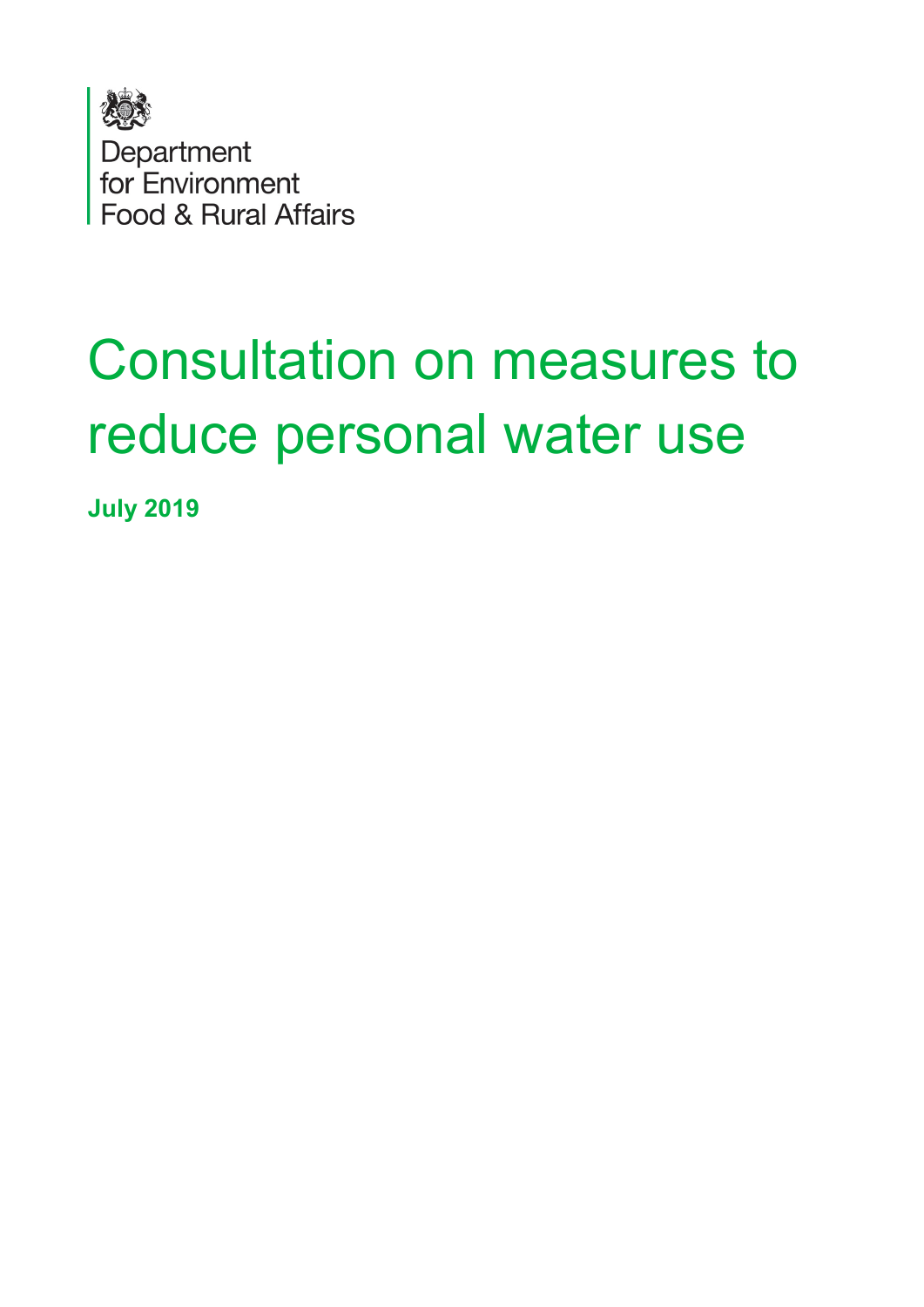

# Consultation on measures to reduce personal water use

**July 2019**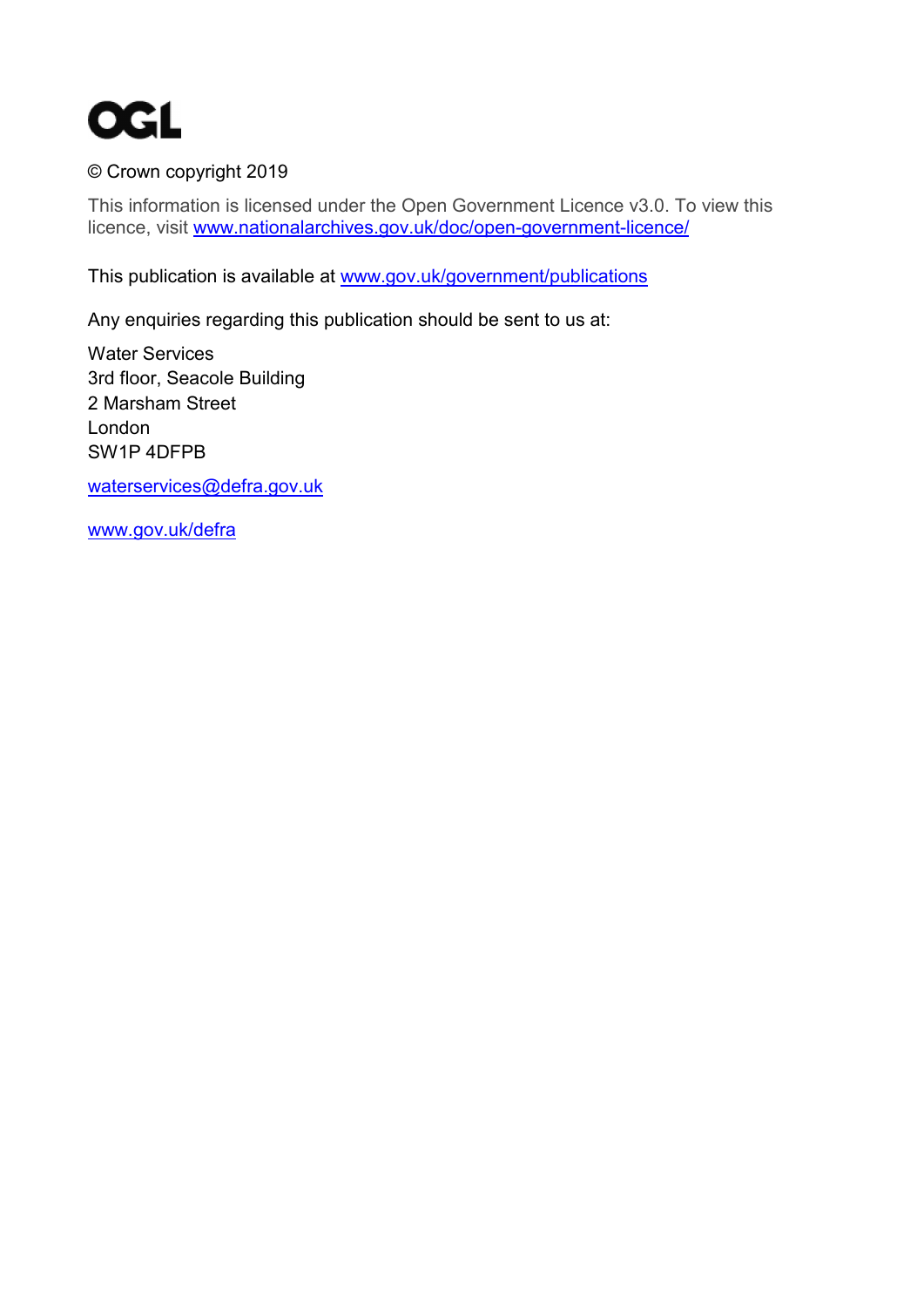

#### © Crown copyright 2019

This information is licensed under the Open Government Licence v3.0. To view this licence, visit [www.nationalarchives.gov.uk/doc/open-government-licence/](http://www.nationalarchives.gov.uk/doc/open-government-licence/) 

This publication is available at [www.gov.uk/government/publications](http://www.gov.uk/government/publications) 

Any enquiries regarding this publication should be sent to us at:

Water Services 3rd floor, Seacole Building 2 Marsham Street London SW1P 4DFPB

[waterservices@defra.gov.uk](mailto:waterservices@defra.gov.uk) 

[www.gov.uk/defra](http://www.gov.uk/defra)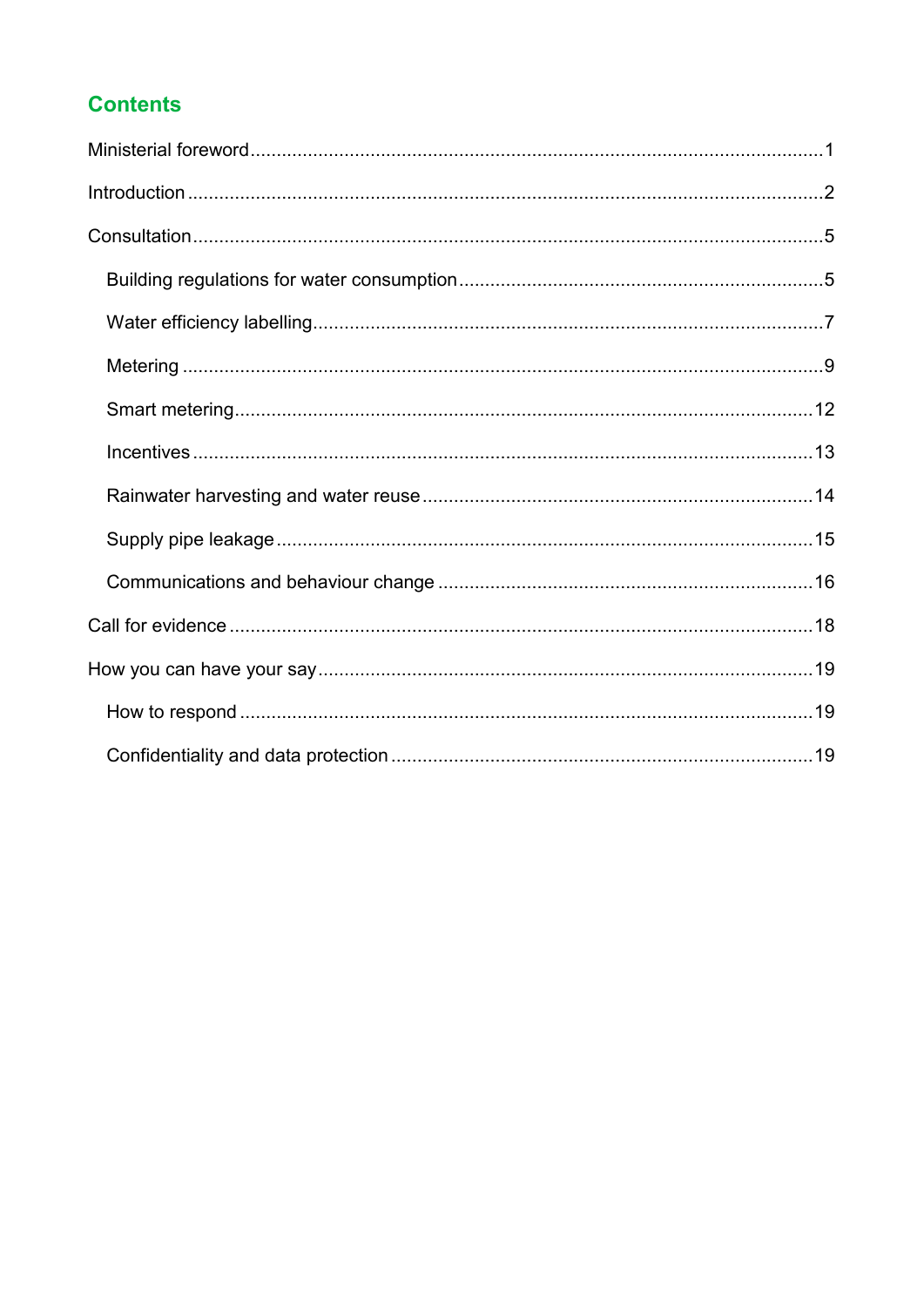### **Contents**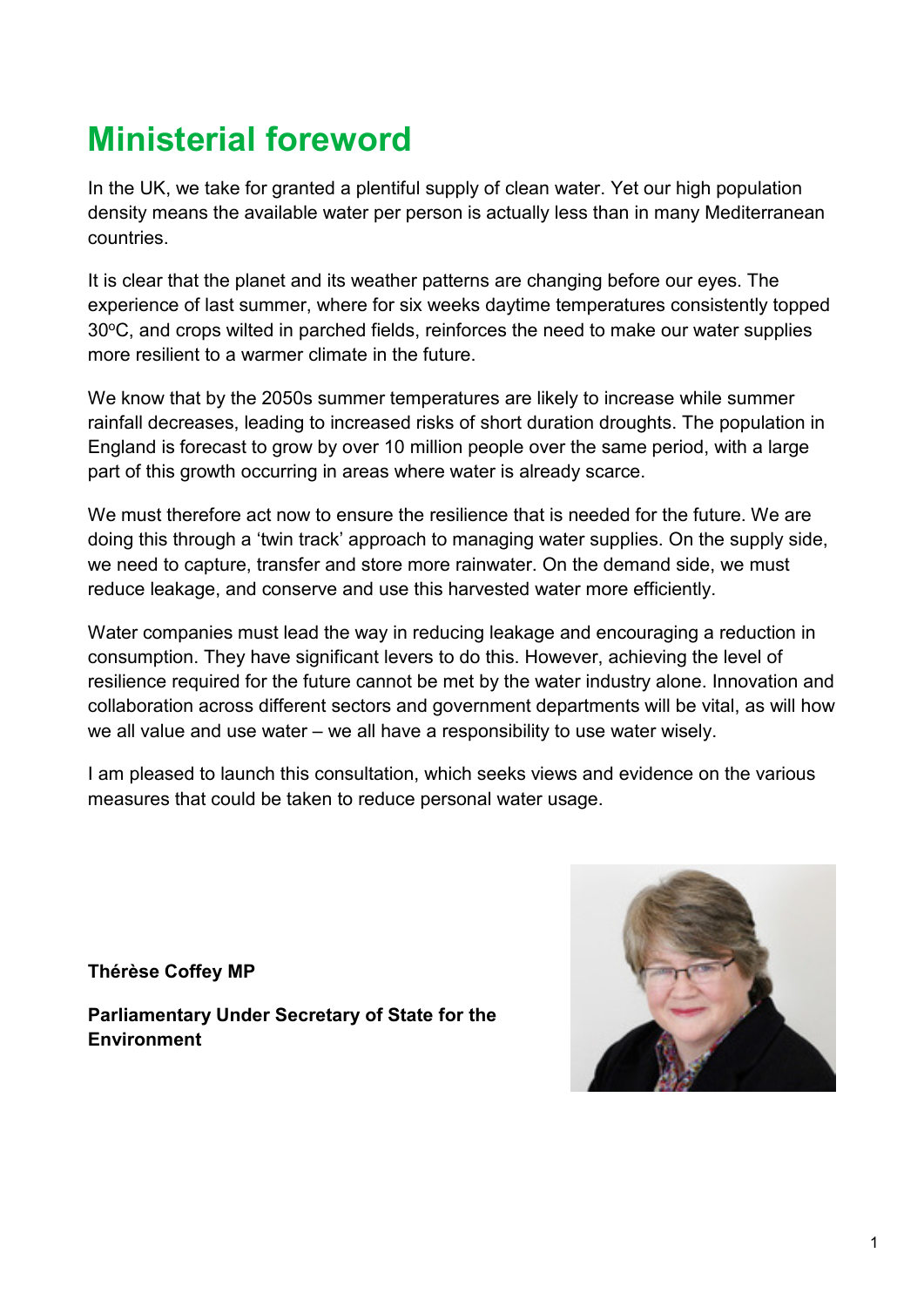# <span id="page-3-0"></span>**Ministerial foreword**

In the UK, we take for granted a plentiful supply of clean water. Yet our high population density means the available water per person is actually less than in many Mediterranean countries.

It is clear that the planet and its weather patterns are changing before our eyes. The experience of last summer, where for six weeks daytime temperatures consistently topped 30°C, and crops wilted in parched fields, reinforces the need to make our water supplies more resilient to a warmer climate in the future.

We know that by the 2050s summer temperatures are likely to increase while summer rainfall decreases, leading to increased risks of short duration droughts. The population in England is forecast to grow by over 10 million people over the same period, with a large part of this growth occurring in areas where water is already scarce.

We must therefore act now to ensure the resilience that is needed for the future. We are doing this through a 'twin track' approach to managing water supplies. On the supply side, we need to capture, transfer and store more rainwater. On the demand side, we must reduce leakage, and conserve and use this harvested water more efficiently.

Water companies must lead the way in reducing leakage and encouraging a reduction in consumption. They have significant levers to do this. However, achieving the level of resilience required for the future cannot be met by the water industry alone. Innovation and collaboration across different sectors and government departments will be vital, as will how we all value and use water – we all have a responsibility to use water wisely.

I am pleased to launch this consultation, which seeks views and evidence on the various measures that could be taken to reduce personal water usage.

**Thérèse Coffey MP** 

**Parliamentary Under Secretary of State for the Environment**

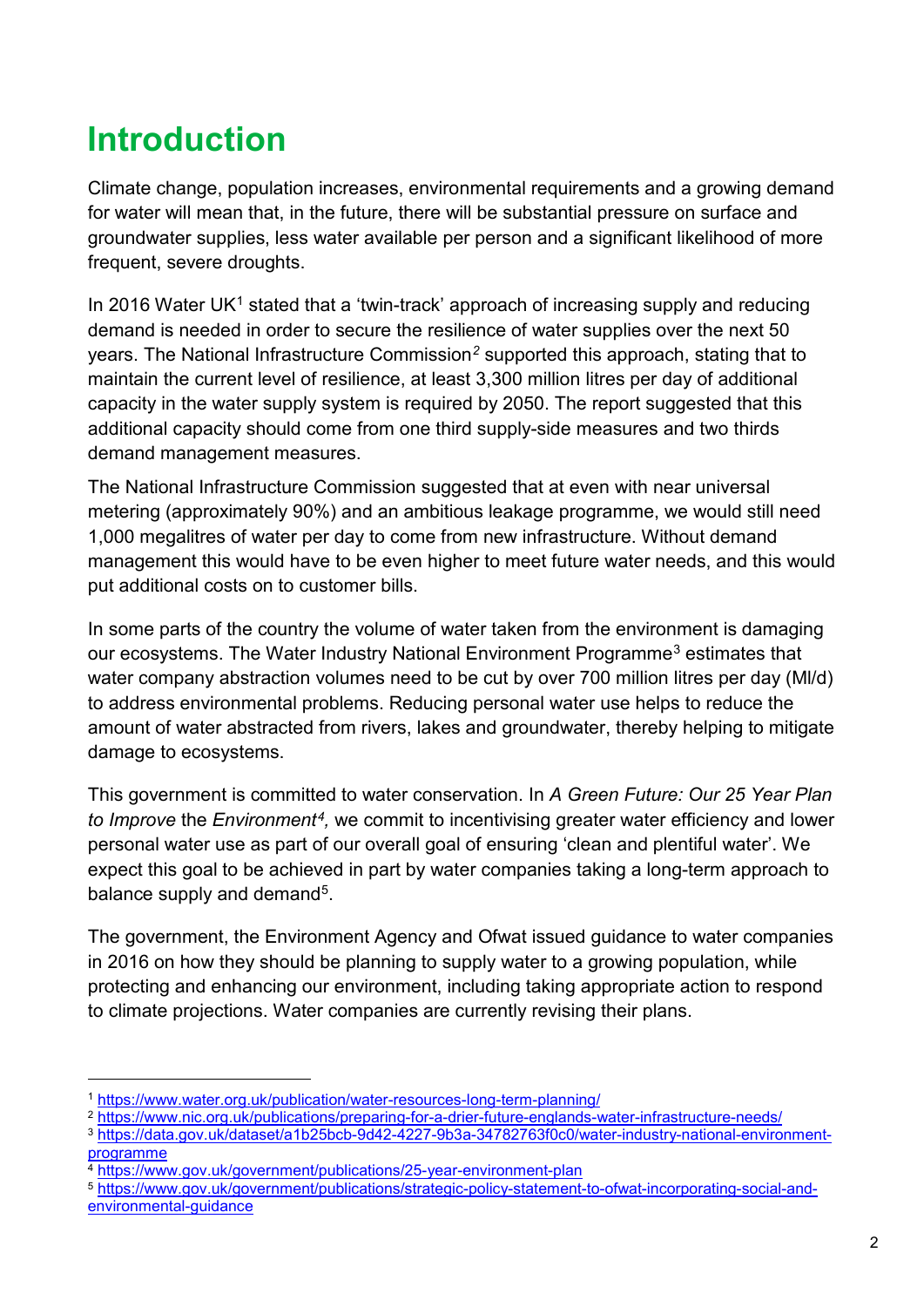# <span id="page-4-0"></span>**Introduction**

Climate change, population increases, environmental requirements and a growing demand for water will mean that, in the future, there will be substantial pressure on surface and groundwater supplies, less water available per person and a significant likelihood of more frequent, severe droughts.

In 20[1](#page-4-1)6 Water UK<sup>1</sup> stated that a 'twin-track' approach of increasing supply and reducing demand is needed in order to secure the resilience of water supplies over the next 50 years. The National Infrastructure Commission*[2](#page-4-2)* supported this approach, stating that to maintain the current level of resilience, at least 3,300 million litres per day of additional capacity in the water supply system is required by 2050. The report suggested that this additional capacity should come from one third supply-side measures and two thirds demand management measures.

The National Infrastructure Commission suggested that at even with near universal metering (approximately 90%) and an ambitious leakage programme, we would still need 1,000 megalitres of water per day to come from new infrastructure. Without demand management this would have to be even higher to meet future water needs, and this would put additional costs on to customer bills.

In some parts of the country the volume of water taken from the environment is damaging our ecosystems. The Water Industry National Environment Programme[3](#page-4-3) estimates that water company abstraction volumes need to be cut by over 700 million litres per day (Ml/d) to address environmental problems. Reducing personal water use helps to reduce the amount of water abstracted from rivers, lakes and groundwater, thereby helping to mitigate damage to ecosystems.

This government is committed to water conservation. In *A Green Future: Our 25 Year Plan to Improve* the *Environment[4](#page-4-4),* we commit to incentivising greater water efficiency and lower personal water use as part of our overall goal of ensuring 'clean and plentiful water'. We expect this goal to be achieved in part by water companies taking a long-term approach to balance supply and demand<sup>5</sup>.

The government, the Environment Agency and Ofwat issued guidance to water companies in 2016 on how they should be planning to supply water to a growing population, while protecting and enhancing our environment, including taking appropriate action to respond to climate projections. Water companies are currently revising their plans.

<span id="page-4-1"></span> <sup>1</sup> <https://www.water.org.uk/publication/water-resources-long-term-planning/>

<span id="page-4-2"></span><sup>2</sup> <https://www.nic.org.uk/publications/preparing-for-a-drier-future-englands-water-infrastructure-needs/>

<span id="page-4-3"></span><sup>3</sup> [https://data.gov.uk/dataset/a1b25bcb-9d42-4227-9b3a-34782763f0c0/water-industry-national-environment](https://data.gov.uk/dataset/a1b25bcb-9d42-4227-9b3a-34782763f0c0/water-industry-national-environment-programme)[programme](https://data.gov.uk/dataset/a1b25bcb-9d42-4227-9b3a-34782763f0c0/water-industry-national-environment-programme)

<span id="page-4-4"></span><sup>4</sup> <https://www.gov.uk/government/publications/25-year-environment-plan>

<span id="page-4-5"></span><sup>5</sup> [https://www.gov.uk/government/publications/strategic-policy-statement-to-ofwat-incorporating-social-and](https://www.gov.uk/government/publications/strategic-policy-statement-to-ofwat-incorporating-social-and-environmental-guidance)[environmental-guidance](https://www.gov.uk/government/publications/strategic-policy-statement-to-ofwat-incorporating-social-and-environmental-guidance)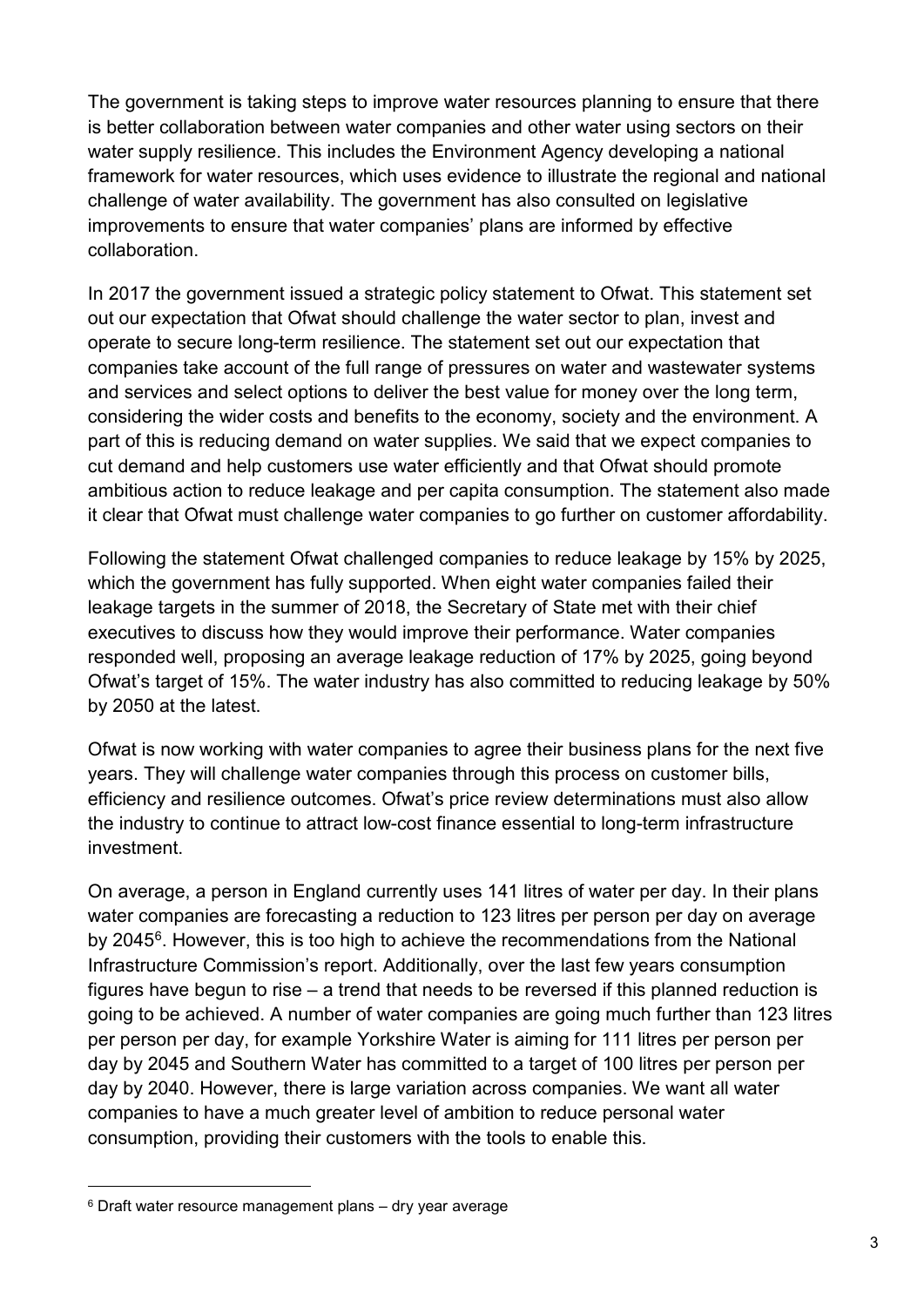The government is taking steps to improve water resources planning to ensure that there is better collaboration between water companies and other water using sectors on their water supply resilience. This includes the Environment Agency developing a national framework for water resources, which uses evidence to illustrate the regional and national challenge of water availability. The government has also consulted on legislative improvements to ensure that water companies' plans are informed by effective collaboration.

In 2017 the government issued a strategic policy statement to Ofwat. This statement set out our expectation that Ofwat should challenge the water sector to plan, invest and operate to secure long-term resilience. The statement set out our expectation that companies take account of the full range of pressures on water and wastewater systems and services and select options to deliver the best value for money over the long term, considering the wider costs and benefits to the economy, society and the environment. A part of this is reducing demand on water supplies. We said that we expect companies to cut demand and help customers use water efficiently and that Ofwat should promote ambitious action to reduce leakage and per capita consumption. The statement also made it clear that Ofwat must challenge water companies to go further on customer affordability.

Following the statement Ofwat challenged companies to reduce leakage by 15% by 2025, which the government has fully supported. When eight water companies failed their leakage targets in the summer of 2018, the Secretary of State met with their chief executives to discuss how they would improve their performance. Water companies responded well, proposing an average leakage reduction of 17% by 2025, going beyond Ofwat's target of 15%. The water industry has also committed to reducing leakage by 50% by 2050 at the latest.

Ofwat is now working with water companies to agree their business plans for the next five years. They will challenge water companies through this process on customer bills, efficiency and resilience outcomes. Ofwat's price review determinations must also allow the industry to continue to attract low-cost finance essential to long-term infrastructure investment.

On average, a person in England currently uses 141 litres of water per day. In their plans water companies are forecasting a reduction to 123 litres per person per day on average by 2045[6](#page-5-0). However, this is too high to achieve the recommendations from the National Infrastructure Commission's report. Additionally, over the last few years consumption figures have begun to rise – a trend that needs to be reversed if this planned reduction is going to be achieved. A number of water companies are going much further than 123 litres per person per day, for example Yorkshire Water is aiming for 111 litres per person per day by 2045 and Southern Water has committed to a target of 100 litres per person per day by 2040. However, there is large variation across companies. We want all water companies to have a much greater level of ambition to reduce personal water consumption, providing their customers with the tools to enable this.

<span id="page-5-0"></span> <sup>6</sup> Draft water resource management plans – dry year average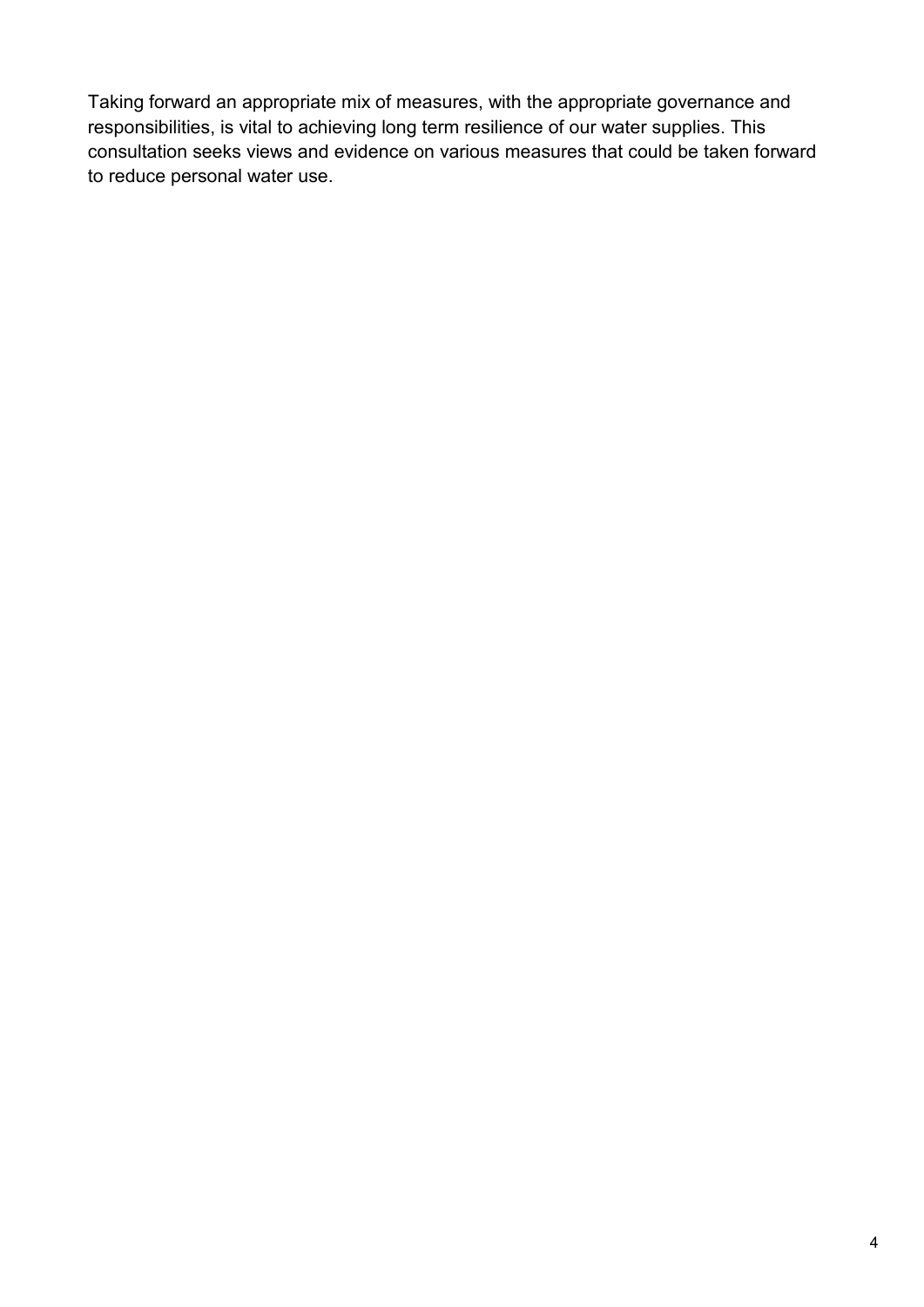Taking forward an appropriate mix of measures, with the appropriate governance and responsibilities, is vital to achieving long term resilience of our water supplies. This consultation seeks views and evidence on various measures that could be taken forward to reduce personal water use.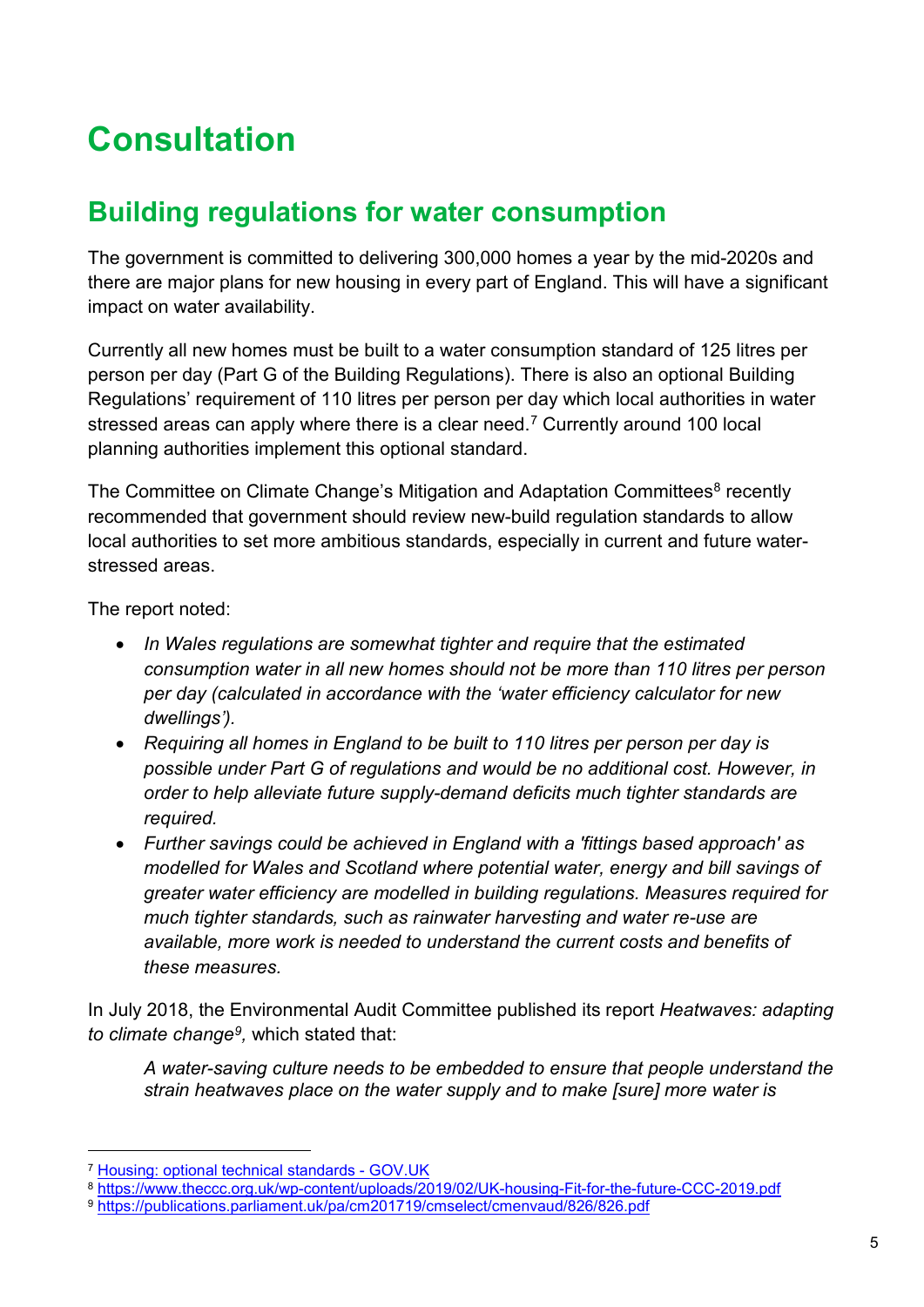# <span id="page-7-0"></span>**Consultation**

# <span id="page-7-1"></span>**Building regulations for water consumption**

The government is committed to delivering 300,000 homes a year by the mid-2020s and there are major plans for new housing in every part of England. This will have a significant impact on water availability.

Currently all new homes must be built to a water consumption standard of 125 litres per person per day (Part G of the Building Regulations). There is also an optional Building Regulations' requirement of 110 litres per person per day which local authorities in water stressed areas can apply where there is a clear need.<sup>[7](#page-7-2)</sup> Currently around 100 local planning authorities implement this optional standard.

The Committee on Climate Change's Mitigation and Adaptation Committees<sup>[8](#page-7-3)</sup> recently recommended that government should review new-build regulation standards to allow local authorities to set more ambitious standards, especially in current and future waterstressed areas.

The report noted:

- *In Wales regulations are somewhat tighter and require that the estimated consumption water in all new homes should not be more than 110 litres per person per day (calculated in accordance with the 'water efficiency calculator for new dwellings').*
- *Requiring all homes in England to be built to 110 litres per person per day is possible under Part G of regulations and would be no additional cost. However, in order to help alleviate future supply-demand deficits much tighter standards are required.*
- *Further savings could be achieved in England with a 'fittings based approach' as modelled for Wales and Scotland where potential water, energy and bill savings of greater water efficiency are modelled in building regulations. Measures required for much tighter standards, such as rainwater harvesting and water re-use are available, more work is needed to understand the current costs and benefits of these measures.*

In July 2018, the Environmental Audit Committee published its report *Heatwaves: adapting to climate change[9,](#page-7-4)* which stated that:

*A water-saving culture needs to be embedded to ensure that people understand the strain heatwaves place on the water supply and to make [sure] more water is* 

<span id="page-7-2"></span> <sup>7</sup> [Housing: optional technical standards -](https://www.gov.uk/guidance/housing-optional-technical-standards#water-efficiency-standards) GOV.UK

<span id="page-7-3"></span><sup>8</sup> <https://www.theccc.org.uk/wp-content/uploads/2019/02/UK-housing-Fit-for-the-future-CCC-2019.pdf>

<span id="page-7-4"></span><sup>9</sup> <https://publications.parliament.uk/pa/cm201719/cmselect/cmenvaud/826/826.pdf>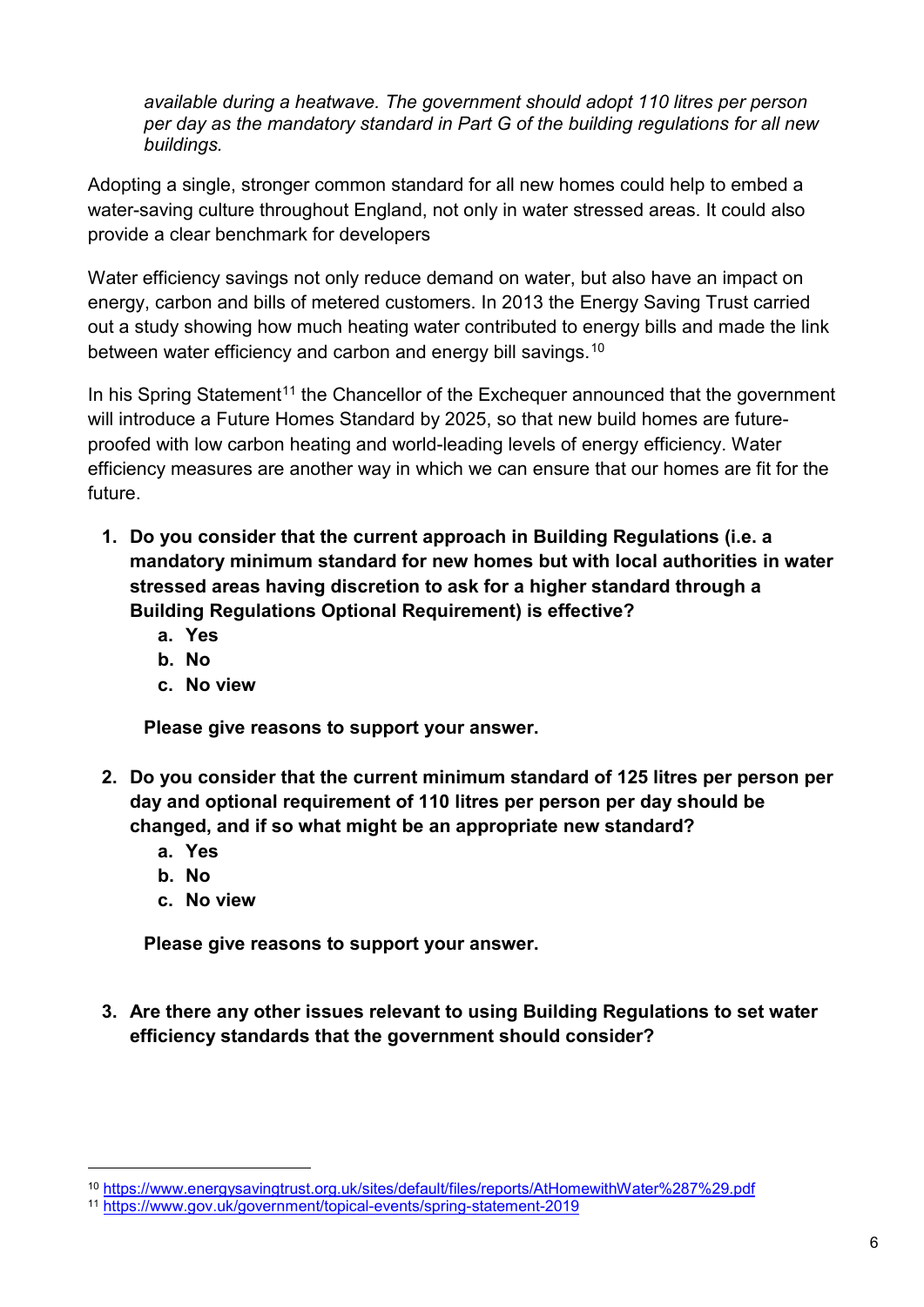*available during a heatwave. The government should adopt 110 litres per person per day as the mandatory standard in Part G of the building regulations for all new buildings.*

Adopting a single, stronger common standard for all new homes could help to embed a water-saving culture throughout England, not only in water stressed areas. It could also provide a clear benchmark for developers

Water efficiency savings not only reduce demand on water, but also have an impact on energy, carbon and bills of metered customers. In 2013 the Energy Saving Trust carried out a study showing how much heating water contributed to energy bills and made the link between water efficiency and carbon and energy bill savings.<sup>[10](#page-8-0)</sup>

In his Spring Statement<sup>[11](#page-8-1)</sup> the Chancellor of the Exchequer announced that the government will introduce a Future Homes Standard by 2025, so that new build homes are futureproofed with low carbon heating and world-leading levels of energy efficiency. Water efficiency measures are another way in which we can ensure that our homes are fit for the future.

- **1. Do you consider that the current approach in Building Regulations (i.e. a mandatory minimum standard for new homes but with local authorities in water stressed areas having discretion to ask for a higher standard through a Building Regulations Optional Requirement) is effective?** 
	- **a. Yes**
	- **b. No**
	- **c. No view**

**Please give reasons to support your answer.**

- **2. Do you consider that the current minimum standard of 125 litres per person per day and optional requirement of 110 litres per person per day should be changed, and if so what might be an appropriate new standard?** 
	- **a. Yes**
	- **b. No**
	- **c. No view**

**Please give reasons to support your answer.**

**3. Are there any other issues relevant to using Building Regulations to set water efficiency standards that the government should consider?**

<span id="page-8-0"></span> <sup>10</sup> <https://www.energysavingtrust.org.uk/sites/default/files/reports/AtHomewithWater%287%29.pdf>

<span id="page-8-1"></span><sup>11</sup> <https://www.gov.uk/government/topical-events/spring-statement-2019>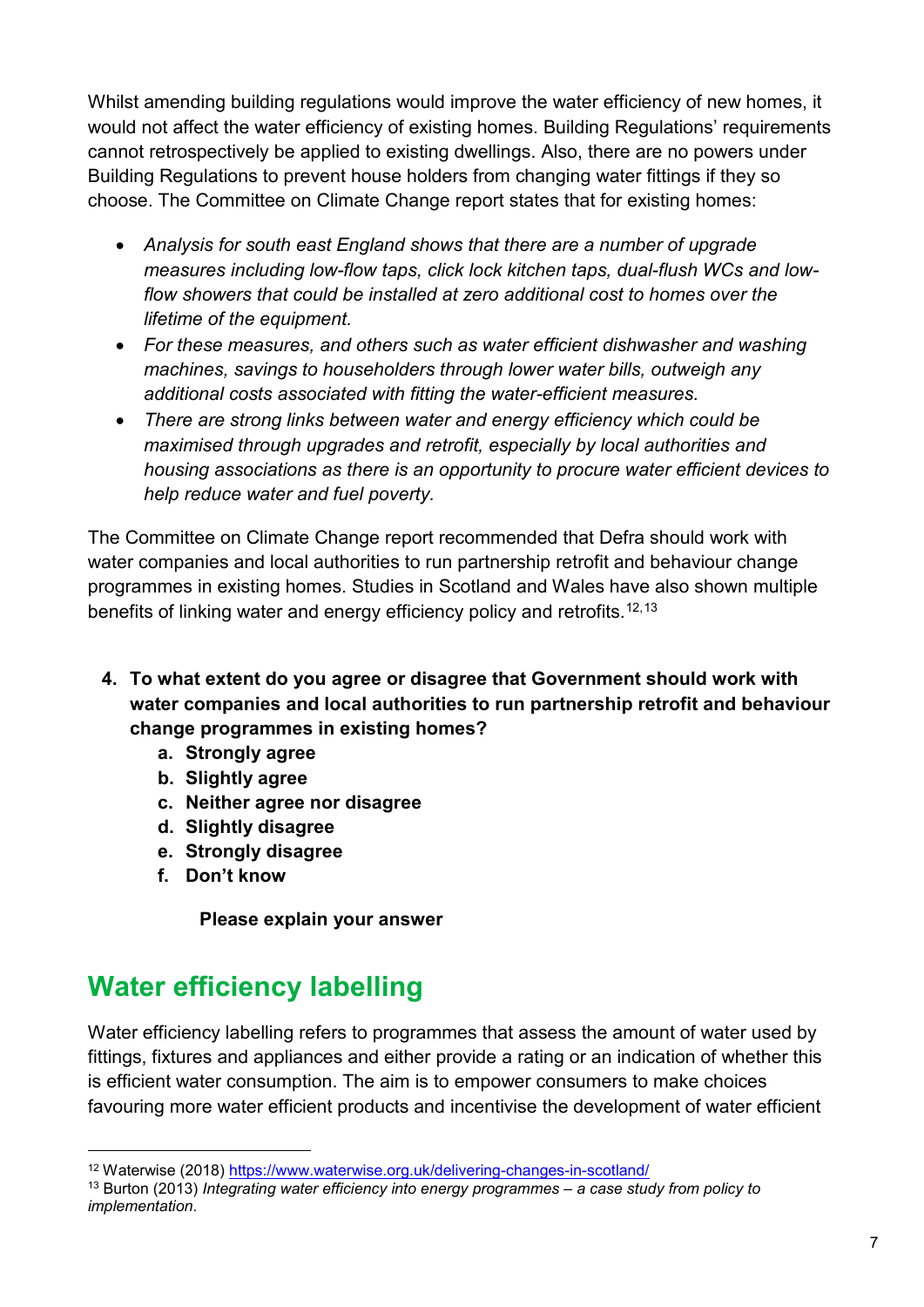Whilst amending building regulations would improve the water efficiency of new homes, it would not affect the water efficiency of existing homes. Building Regulations' requirements cannot retrospectively be applied to existing dwellings. Also, there are no powers under Building Regulations to prevent house holders from changing water fittings if they so choose. The Committee on Climate Change report states that for existing homes:

- *Analysis for south east England shows that there are a number of upgrade measures including low-flow taps, click lock kitchen taps, dual-flush WCs and lowflow showers that could be installed at zero additional cost to homes over the lifetime of the equipment.*
- *For these measures, and others such as water efficient dishwasher and washing machines, savings to householders through lower water bills, outweigh any additional costs associated with fitting the water-efficient measures.*
- *There are strong links between water and energy efficiency which could be maximised through upgrades and retrofit, especially by local authorities and housing associations as there is an opportunity to procure water efficient devices to help reduce water and fuel poverty.*

The Committee on Climate Change report recommended that Defra should work with water companies and local authorities to run partnership retrofit and behaviour change programmes in existing homes. Studies in Scotland and Wales have also shown multiple benefits of linking water and energy efficiency policy and retrofits.<sup>[12](#page-9-1),[13](#page-9-2)</sup>

- **4. To what extent do you agree or disagree that Government should work with water companies and local authorities to run partnership retrofit and behaviour change programmes in existing homes?**
	- **a. Strongly agree**
	- **b. Slightly agree**
	- **c. Neither agree nor disagree**
	- **d. Slightly disagree**
	- **e. Strongly disagree**
	- **f. Don't know**

**Please explain your answer**

# <span id="page-9-0"></span>**Water efficiency labelling**

Water efficiency labelling refers to programmes that assess the amount of water used by fittings, fixtures and appliances and either provide a rating or an indication of whether this is efficient water consumption. The aim is to empower consumers to make choices favouring more water efficient products and incentivise the development of water efficient

<span id="page-9-1"></span> <sup>12</sup> Waterwise (2018)<https://www.waterwise.org.uk/delivering-changes-in-scotland/>

<span id="page-9-2"></span><sup>13</sup> Burton (2013) *Integrating water efficiency into energy programmes – a case study from policy to implementation*.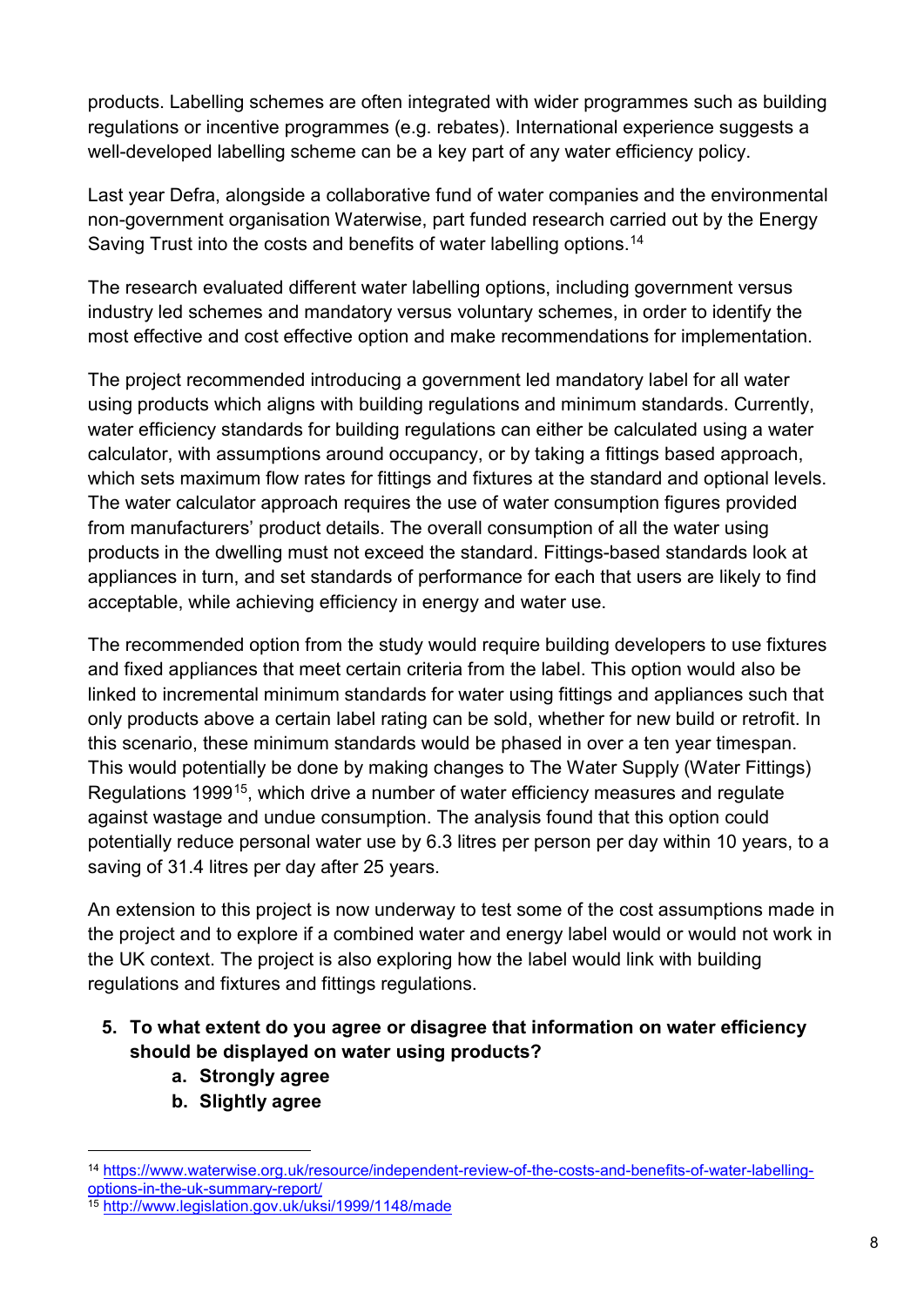products. Labelling schemes are often integrated with wider programmes such as building regulations or incentive programmes (e.g. rebates). International experience suggests a well-developed labelling scheme can be a key part of any water efficiency policy.

Last year Defra, alongside a collaborative fund of water companies and the environmental non-government organisation Waterwise, part funded research carried out by the Energy Saving Trust into the costs and benefits of water labelling options.<sup>[14](#page-10-0)</sup>

The research evaluated different water labelling options, including government versus industry led schemes and mandatory versus voluntary schemes, in order to identify the most effective and cost effective option and make recommendations for implementation.

The project recommended introducing a government led mandatory label for all water using products which aligns with building regulations and minimum standards. Currently, water efficiency standards for building regulations can either be calculated using a water calculator, with assumptions around occupancy, or by taking a fittings based approach, which sets maximum flow rates for fittings and fixtures at the standard and optional levels. The water calculator approach requires the use of water consumption figures provided from manufacturers' product details. The overall consumption of all the water using products in the dwelling must not exceed the standard. Fittings-based standards look at appliances in turn, and set standards of performance for each that users are likely to find acceptable, while achieving efficiency in energy and water use.

The recommended option from the study would require building developers to use fixtures and fixed appliances that meet certain criteria from the label. This option would also be linked to incremental minimum standards for water using fittings and appliances such that only products above a certain label rating can be sold, whether for new build or retrofit. In this scenario, these minimum standards would be phased in over a ten year timespan. This would potentially be done by making changes to The Water Supply (Water Fittings) Regulations 1999[15](#page-10-1), which drive a number of water efficiency measures and regulate against wastage and undue consumption. The analysis found that this option could potentially reduce personal water use by 6.3 litres per person per day within 10 years, to a saving of 31.4 litres per day after 25 years.

An extension to this project is now underway to test some of the cost assumptions made in the project and to explore if a combined water and energy label would or would not work in the UK context. The project is also exploring how the label would link with building regulations and fixtures and fittings regulations.

- **5. To what extent do you agree or disagree that information on water efficiency should be displayed on water using products?**
	- **a. Strongly agree**
	- **b. Slightly agree**

<span id="page-10-0"></span> <sup>14</sup> [https://www.waterwise.org.uk/resource/independent-review-of-the-costs-and-benefits-of-water-labelling](https://www.waterwise.org.uk/resource/independent-review-of-the-costs-and-benefits-of-water-labelling-options-in-the-uk-summary-report/)[options-in-the-uk-summary-report/](https://www.waterwise.org.uk/resource/independent-review-of-the-costs-and-benefits-of-water-labelling-options-in-the-uk-summary-report/)

<span id="page-10-1"></span><sup>15</sup> <http://www.legislation.gov.uk/uksi/1999/1148/made>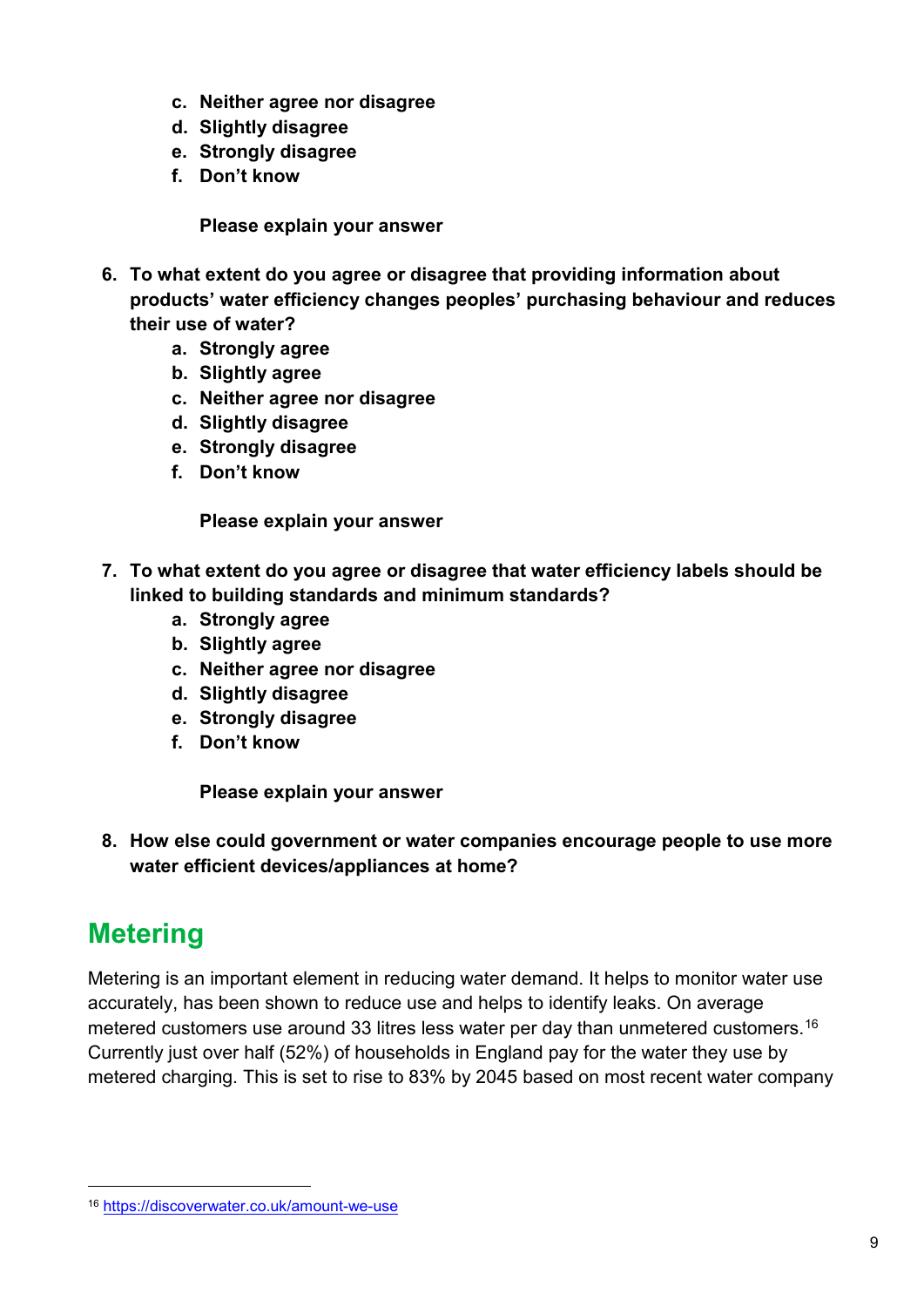- **c. Neither agree nor disagree**
- **d. Slightly disagree**
- **e. Strongly disagree**
- **f. Don't know**

**Please explain your answer**

- **6. To what extent do you agree or disagree that providing information about products' water efficiency changes peoples' purchasing behaviour and reduces their use of water?** 
	- **a. Strongly agree**
	- **b. Slightly agree**
	- **c. Neither agree nor disagree**
	- **d. Slightly disagree**
	- **e. Strongly disagree**
	- **f. Don't know**

**Please explain your answer**

- **7. To what extent do you agree or disagree that water efficiency labels should be linked to building standards and minimum standards?**
	- **a. Strongly agree**
	- **b. Slightly agree**
	- **c. Neither agree nor disagree**
	- **d. Slightly disagree**
	- **e. Strongly disagree**
	- **f. Don't know**

**Please explain your answer**

**8. How else could government or water companies encourage people to use more water efficient devices/appliances at home?** 

# <span id="page-11-0"></span>**Metering**

Metering is an important element in reducing water demand. It helps to monitor water use accurately, has been shown to reduce use and helps to identify leaks. On average metered customers use around 33 litres less water per day than unmetered customers.<sup>[16](#page-11-1)</sup> Currently just over half (52%) of households in England pay for the water they use by metered charging. This is set to rise to 83% by 2045 based on most recent water company

<span id="page-11-1"></span> <sup>16</sup> <https://discoverwater.co.uk/amount-we-use>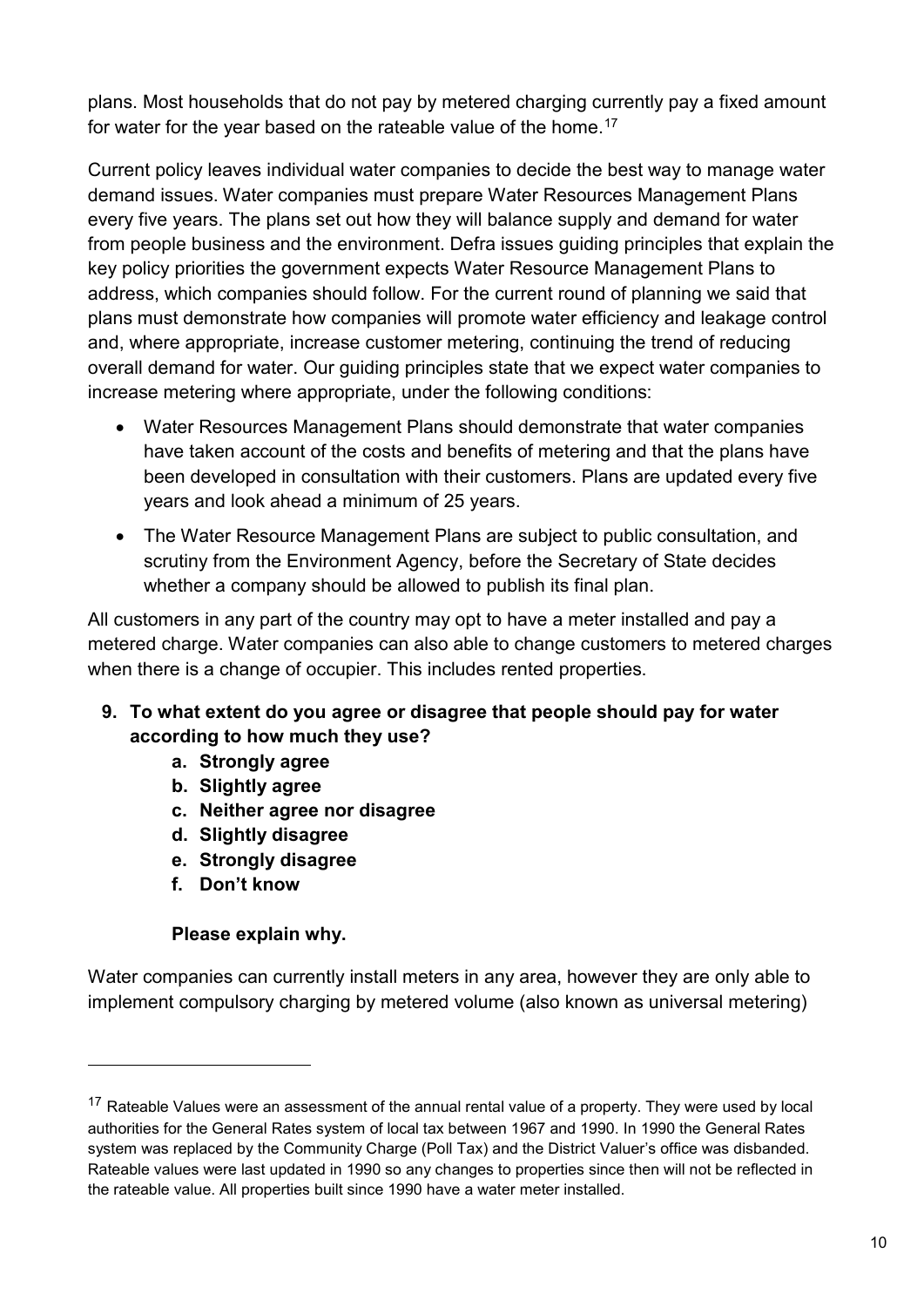plans. Most households that do not pay by metered charging currently pay a fixed amount for water for the year based on the rateable value of the home[.17](#page-12-0)

Current policy leaves individual water companies to decide the best way to manage water demand issues. Water companies must prepare Water Resources Management Plans every five years. The plans set out how they will balance supply and demand for water from people business and the environment. Defra issues guiding principles that explain the key policy priorities the government expects Water Resource Management Plans to address, which companies should follow. For the current round of planning we said that plans must demonstrate how companies will promote water efficiency and leakage control and, where appropriate, increase customer metering, continuing the trend of reducing overall demand for water. Our guiding principles state that we expect water companies to increase metering where appropriate, under the following conditions:

- Water Resources Management Plans should demonstrate that water companies have taken account of the costs and benefits of metering and that the plans have been developed in consultation with their customers. Plans are updated every five years and look ahead a minimum of 25 years.
- The Water Resource Management Plans are subject to public consultation, and scrutiny from the Environment Agency, before the Secretary of State decides whether a company should be allowed to publish its final plan.

All customers in any part of the country may opt to have a meter installed and pay a metered charge. Water companies can also able to change customers to metered charges when there is a change of occupier. This includes rented properties.

- **9. To what extent do you agree or disagree that people should pay for water according to how much they use?**
	- **a. Strongly agree**
	- **b. Slightly agree**
	- **c. Neither agree nor disagree**
	- **d. Slightly disagree**
	- **e. Strongly disagree**
	- **f. Don't know**

-

#### **Please explain why.**

Water companies can currently install meters in any area, however they are only able to implement compulsory charging by metered volume (also known as universal metering)

<span id="page-12-0"></span><sup>&</sup>lt;sup>17</sup> Rateable Values were an assessment of the annual rental value of a property. They were used by local authorities for the General Rates system of local tax between 1967 and 1990. In 1990 the General Rates system was replaced by the Community Charge (Poll Tax) and the District Valuer's office was disbanded. Rateable values were last updated in 1990 so any changes to properties since then will not be reflected in the rateable value. All properties built since 1990 have a water meter installed.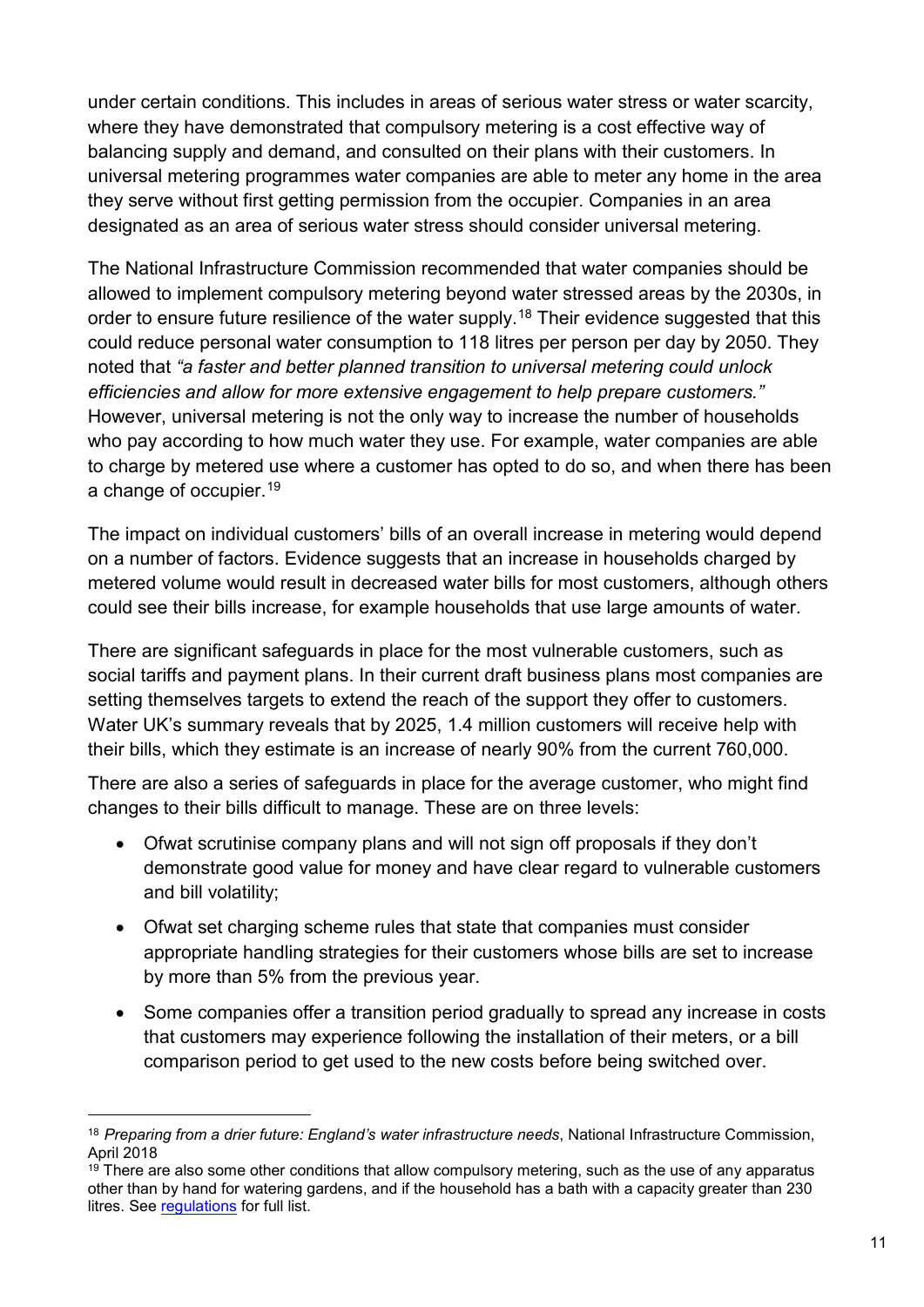under certain conditions. This includes in areas of serious water stress or water scarcity, where they have demonstrated that compulsory metering is a cost effective way of balancing supply and demand, and consulted on their plans with their customers. In universal metering programmes water companies are able to meter any home in the area they serve without first getting permission from the occupier. Companies in an area designated as an area of serious water stress should consider universal metering.

The National Infrastructure Commission recommended that water companies should be allowed to implement compulsory metering beyond water stressed areas by the 2030s, in order to ensure future resilience of the water supply.<sup>[18](#page-13-0)</sup> Their evidence suggested that this could reduce personal water consumption to 118 litres per person per day by 2050. They noted that *"a faster and better planned transition to universal metering could unlock efficiencies and allow for more extensive engagement to help prepare customers."*  However, universal metering is not the only way to increase the number of households who pay according to how much water they use. For example, water companies are able to charge by metered use where a customer has opted to do so, and when there has been a change of occupier.<sup>[19](#page-13-1)</sup>

The impact on individual customers' bills of an overall increase in metering would depend on a number of factors. Evidence suggests that an increase in households charged by metered volume would result in decreased water bills for most customers, although others could see their bills increase, for example households that use large amounts of water.

There are significant safeguards in place for the most vulnerable customers, such as social tariffs and payment plans. In their current draft business plans most companies are setting themselves targets to extend the reach of the support they offer to customers. Water UK's summary reveals that by 2025, 1.4 million customers will receive help with their bills, which they estimate is an increase of nearly 90% from the current 760,000.

There are also a series of safeguards in place for the average customer, who might find changes to their bills difficult to manage. These are on three levels:

- Ofwat scrutinise company plans and will not sign off proposals if they don't demonstrate good value for money and have clear regard to vulnerable customers and bill volatility;
- Ofwat set charging scheme rules that state that companies must consider appropriate handling strategies for their customers whose bills are set to increase by more than 5% from the previous year.
- Some companies offer a transition period gradually to spread any increase in costs that customers may experience following the installation of their meters, or a bill comparison period to get used to the new costs before being switched over.

<span id="page-13-0"></span> <sup>18</sup> *Preparing from a drier future: England's water infrastructure needs*, National Infrastructure Commission, April 2018

<span id="page-13-1"></span> $19$  There are also some other conditions that allow compulsory metering, such as the use of any apparatus other than by hand for watering gardens, and if the household has a bath with a capacity greater than 230 litres. See [regulations](https://www.legislation.gov.uk/uksi/1999/3442/regulation/2/made) for full list.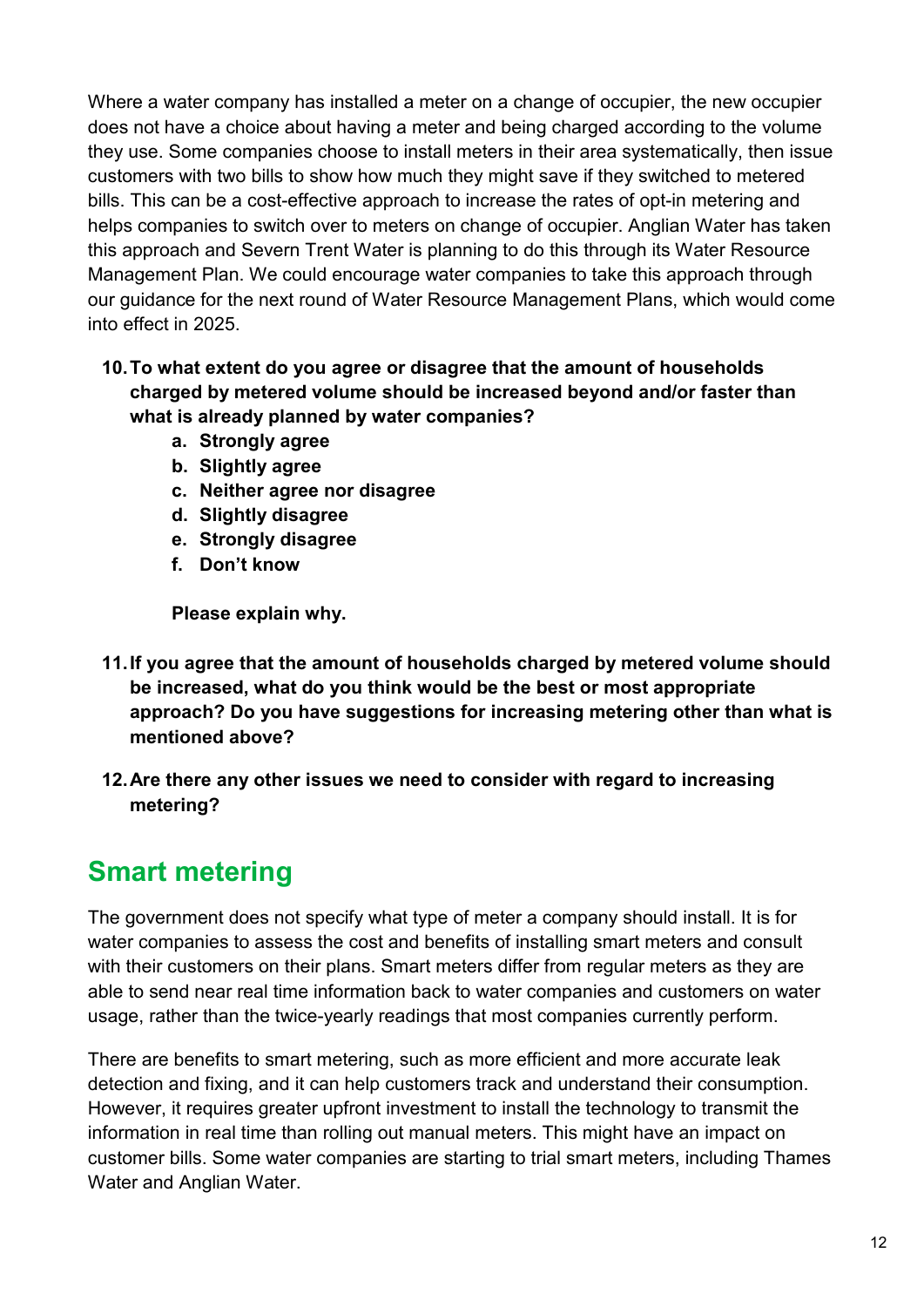Where a water company has installed a meter on a change of occupier, the new occupier does not have a choice about having a meter and being charged according to the volume they use. Some companies choose to install meters in their area systematically, then issue customers with two bills to show how much they might save if they switched to metered bills. This can be a cost-effective approach to increase the rates of opt-in metering and helps companies to switch over to meters on change of occupier. Anglian Water has taken this approach and Severn Trent Water is planning to do this through its Water Resource Management Plan. We could encourage water companies to take this approach through our guidance for the next round of Water Resource Management Plans, which would come into effect in 2025.

#### **10.To what extent do you agree or disagree that the amount of households charged by metered volume should be increased beyond and/or faster than what is already planned by water companies?**

- **a. Strongly agree**
- **b. Slightly agree**
- **c. Neither agree nor disagree**
- **d. Slightly disagree**
- **e. Strongly disagree**
- **f. Don't know**

**Please explain why.** 

- **11.If you agree that the amount of households charged by metered volume should be increased, what do you think would be the best or most appropriate approach? Do you have suggestions for increasing metering other than what is mentioned above?**
- **12.Are there any other issues we need to consider with regard to increasing metering?**

# <span id="page-14-0"></span>**Smart metering**

The government does not specify what type of meter a company should install. It is for water companies to assess the cost and benefits of installing smart meters and consult with their customers on their plans. Smart meters differ from regular meters as they are able to send near real time information back to water companies and customers on water usage, rather than the twice-yearly readings that most companies currently perform.

There are benefits to smart metering, such as more efficient and more accurate leak detection and fixing, and it can help customers track and understand their consumption. However, it requires greater upfront investment to install the technology to transmit the information in real time than rolling out manual meters. This might have an impact on customer bills. Some water companies are starting to trial smart meters, including Thames Water and Anglian Water.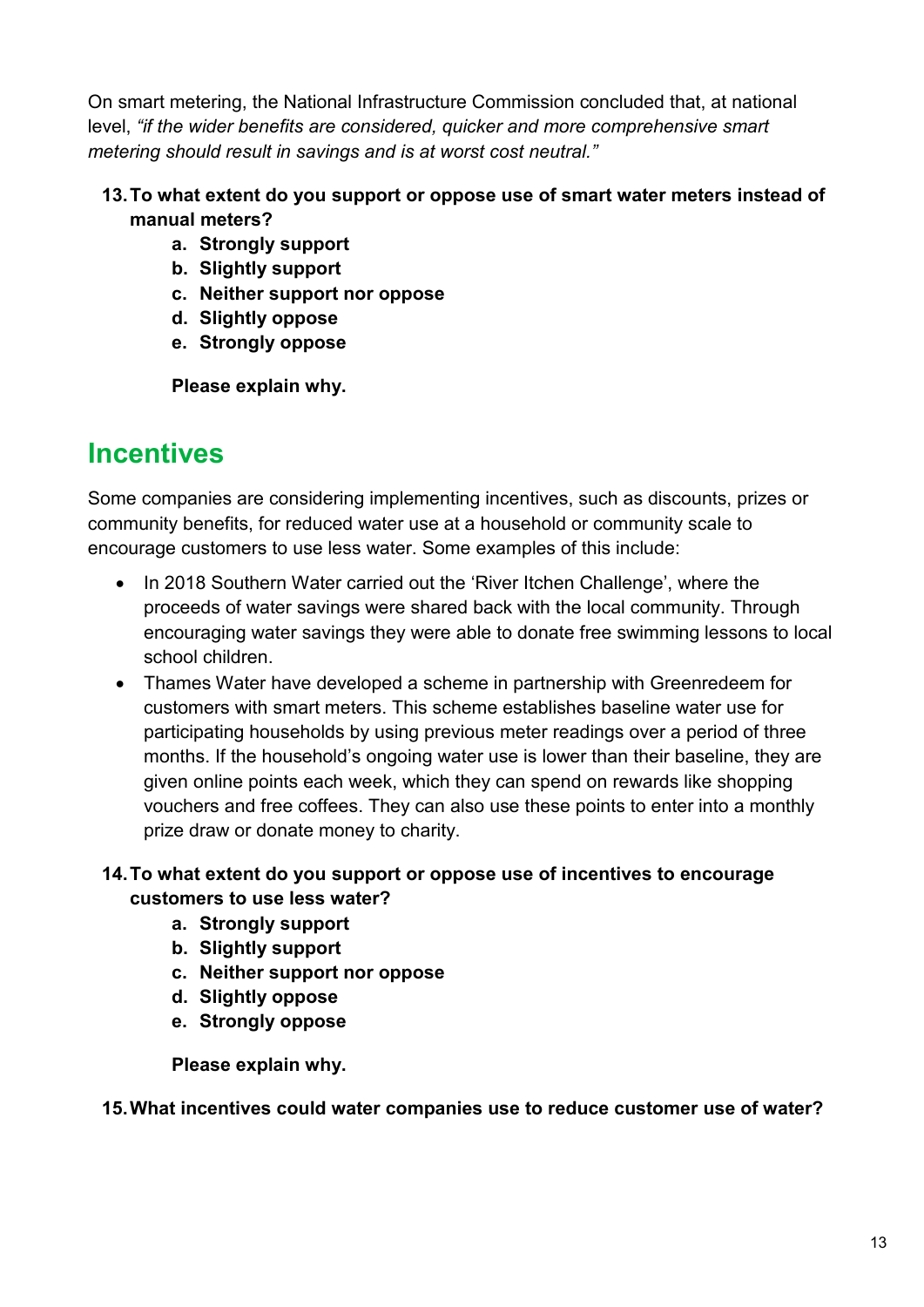On smart metering, the National Infrastructure Commission concluded that, at national level, *"if the wider benefits are considered, quicker and more comprehensive smart metering should result in savings and is at worst cost neutral."* 

#### **13.To what extent do you support or oppose use of smart water meters instead of manual meters?**

- **a. Strongly support**
- **b. Slightly support**
- **c. Neither support nor oppose**
- **d. Slightly oppose**
- **e. Strongly oppose**

**Please explain why.**

# <span id="page-15-0"></span>**Incentives**

Some companies are considering implementing incentives, such as discounts, prizes or community benefits, for reduced water use at a household or community scale to encourage customers to use less water. Some examples of this include:

- In 2018 Southern Water carried out the 'River Itchen Challenge', where the proceeds of water savings were shared back with the local community. Through encouraging water savings they were able to donate free swimming lessons to local school children.
- Thames Water have developed a scheme in partnership with Greenredeem for customers with smart meters. This scheme establishes baseline water use for participating households by using previous meter readings over a period of three months. If the household's ongoing water use is lower than their baseline, they are given online points each week, which they can spend on rewards like shopping vouchers and free coffees. They can also use these points to enter into a monthly prize draw or donate money to charity.

#### **14.To what extent do you support or oppose use of incentives to encourage customers to use less water?**

- **a. Strongly support**
- **b. Slightly support**
- **c. Neither support nor oppose**
- **d. Slightly oppose**
- **e. Strongly oppose**

**Please explain why.**

#### **15.What incentives could water companies use to reduce customer use of water?**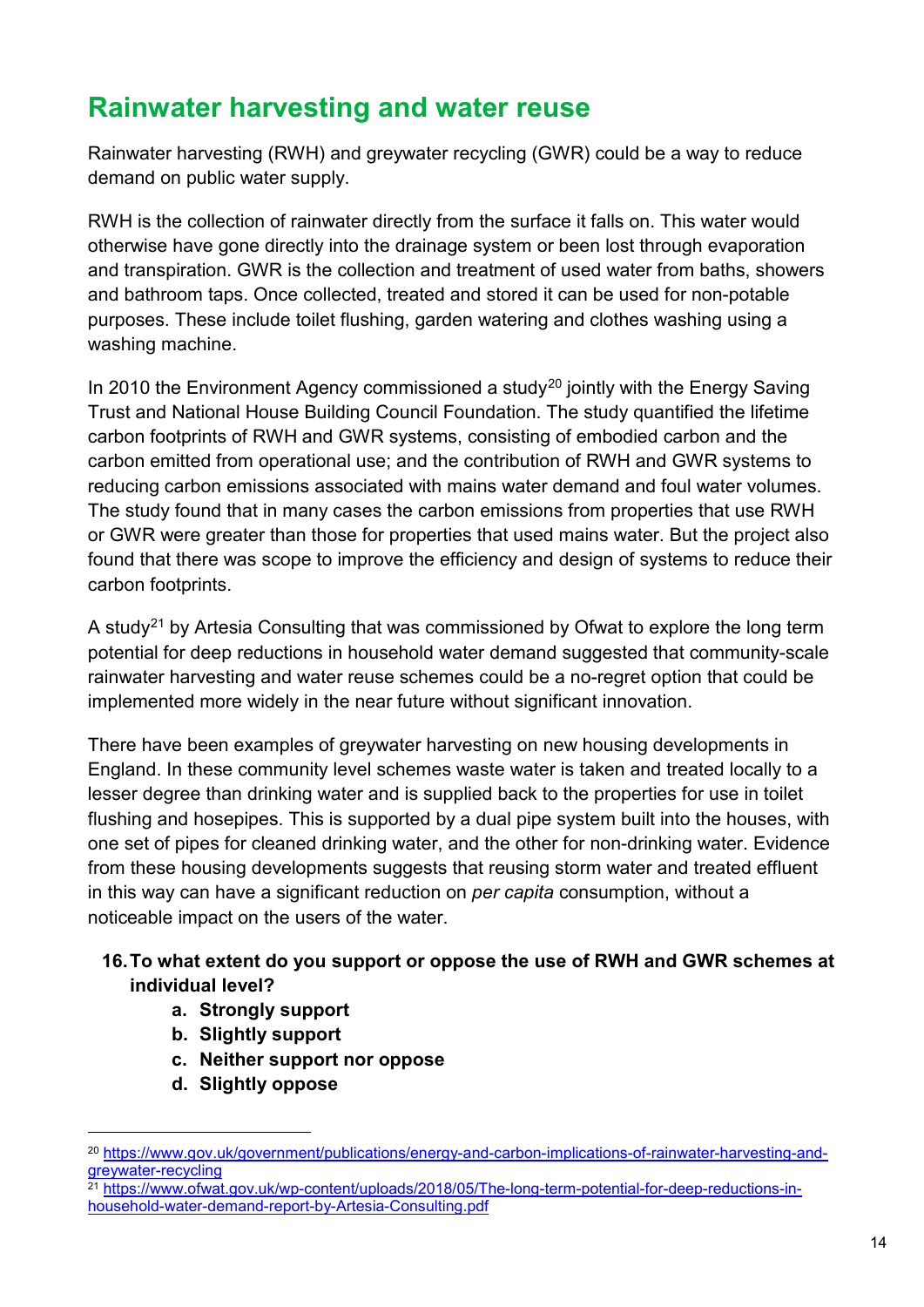## <span id="page-16-0"></span>**Rainwater harvesting and water reuse**

Rainwater harvesting (RWH) and greywater recycling (GWR) could be a way to reduce demand on public water supply.

RWH is the collection of rainwater directly from the surface it falls on. This water would otherwise have gone directly into the drainage system or been lost through evaporation and transpiration. GWR is the collection and treatment of used water from baths, showers and bathroom taps. Once collected, treated and stored it can be used for non-potable purposes. These include toilet flushing, garden watering and clothes washing using a washing machine.

In [20](#page-16-1)10 the Environment Agency commissioned a study<sup>20</sup> jointly with the Energy Saving Trust and National House Building Council Foundation. The study quantified the lifetime carbon footprints of RWH and GWR systems, consisting of embodied carbon and the carbon emitted from operational use; and the contribution of RWH and GWR systems to reducing carbon emissions associated with mains water demand and foul water volumes. The study found that in many cases the carbon emissions from properties that use RWH or GWR were greater than those for properties that used mains water. But the project also found that there was scope to improve the efficiency and design of systems to reduce their carbon footprints.

A study<sup>[21](#page-16-2)</sup> by Artesia Consulting that was commissioned by Ofwat to explore the long term potential for deep reductions in household water demand suggested that community-scale rainwater harvesting and water reuse schemes could be a no-regret option that could be implemented more widely in the near future without significant innovation.

There have been examples of greywater harvesting on new housing developments in England. In these community level schemes waste water is taken and treated locally to a lesser degree than drinking water and is supplied back to the properties for use in toilet flushing and hosepipes. This is supported by a dual pipe system built into the houses, with one set of pipes for cleaned drinking water, and the other for non-drinking water. Evidence from these housing developments suggests that reusing storm water and treated effluent in this way can have a significant reduction on *per capita* consumption, without a noticeable impact on the users of the water.

#### **16.To what extent do you support or oppose the use of RWH and GWR schemes at individual level?**

- **a. Strongly support**
- **b. Slightly support**
- **c. Neither support nor oppose**
- **d. Slightly oppose**

<span id="page-16-1"></span> <sup>20</sup> [https://www.gov.uk/government/publications/energy-and-carbon-implications-of-rainwater-harvesting-and](https://www.gov.uk/government/publications/energy-and-carbon-implications-of-rainwater-harvesting-and-greywater-recycling)[greywater-recycling](https://www.gov.uk/government/publications/energy-and-carbon-implications-of-rainwater-harvesting-and-greywater-recycling)

<span id="page-16-2"></span><sup>&</sup>lt;sup>21</sup> [https://www.ofwat.gov.uk/wp-content/uploads/2018/05/The-long-term-potential-for-deep-reductions-in](https://www.ofwat.gov.uk/wp-content/uploads/2018/05/The-long-term-potential-for-deep-reductions-in-household-water-demand-report-by-Artesia-Consulting.pdf)[household-water-demand-report-by-Artesia-Consulting.pdf](https://www.ofwat.gov.uk/wp-content/uploads/2018/05/The-long-term-potential-for-deep-reductions-in-household-water-demand-report-by-Artesia-Consulting.pdf)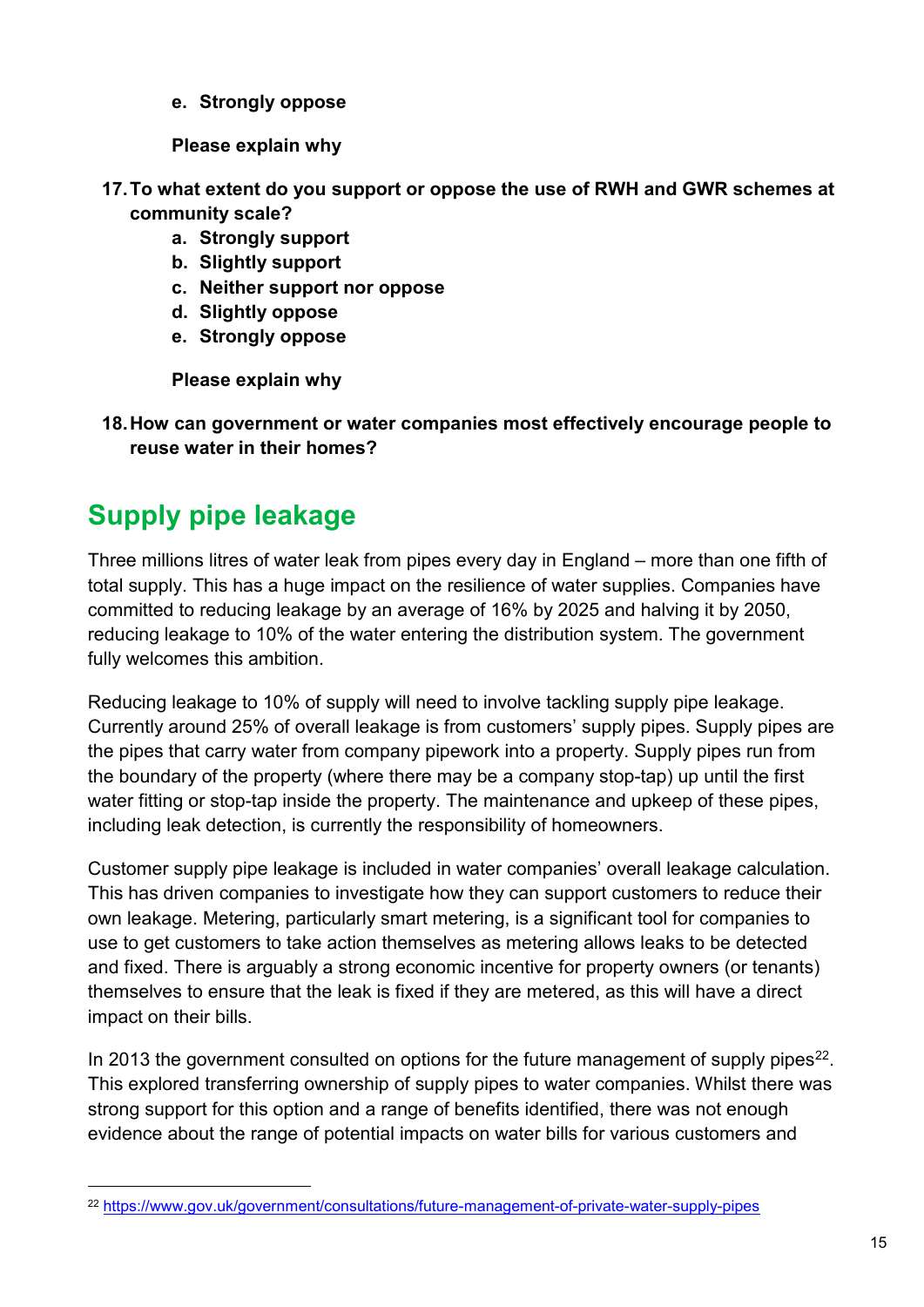**e. Strongly oppose**

**Please explain why**

- **17.To what extent do you support or oppose the use of RWH and GWR schemes at community scale?**
	- **a. Strongly support**
	- **b. Slightly support**
	- **c. Neither support nor oppose**
	- **d. Slightly oppose**
	- **e. Strongly oppose**

**Please explain why**

**18.How can government or water companies most effectively encourage people to reuse water in their homes?** 

# <span id="page-17-0"></span>**Supply pipe leakage**

Three millions litres of water leak from pipes every day in England – more than one fifth of total supply. This has a huge impact on the resilience of water supplies. Companies have committed to reducing leakage by an average of 16% by 2025 and halving it by 2050, reducing leakage to 10% of the water entering the distribution system. The government fully welcomes this ambition.

Reducing leakage to 10% of supply will need to involve tackling supply pipe leakage. Currently around 25% of overall leakage is from customers' supply pipes. Supply pipes are the pipes that carry water from company pipework into a property. Supply pipes run from the boundary of the property (where there may be a company stop-tap) up until the first water fitting or stop-tap inside the property. The maintenance and upkeep of these pipes, including leak detection, is currently the responsibility of homeowners.

Customer supply pipe leakage is included in water companies' overall leakage calculation. This has driven companies to investigate how they can support customers to reduce their own leakage. Metering, particularly smart metering, is a significant tool for companies to use to get customers to take action themselves as metering allows leaks to be detected and fixed. There is arguably a strong economic incentive for property owners (or tenants) themselves to ensure that the leak is fixed if they are metered, as this will have a direct impact on their bills.

In 2013 the government consulted on options for the future management of supply pipes<sup>22</sup>. This explored transferring ownership of supply pipes to water companies. Whilst there was strong support for this option and a range of benefits identified, there was not enough evidence about the range of potential impacts on water bills for various customers and

<span id="page-17-1"></span> <sup>22</sup> https://www.gov.uk/government/consultations/future-management-of-private-water-supply-pipes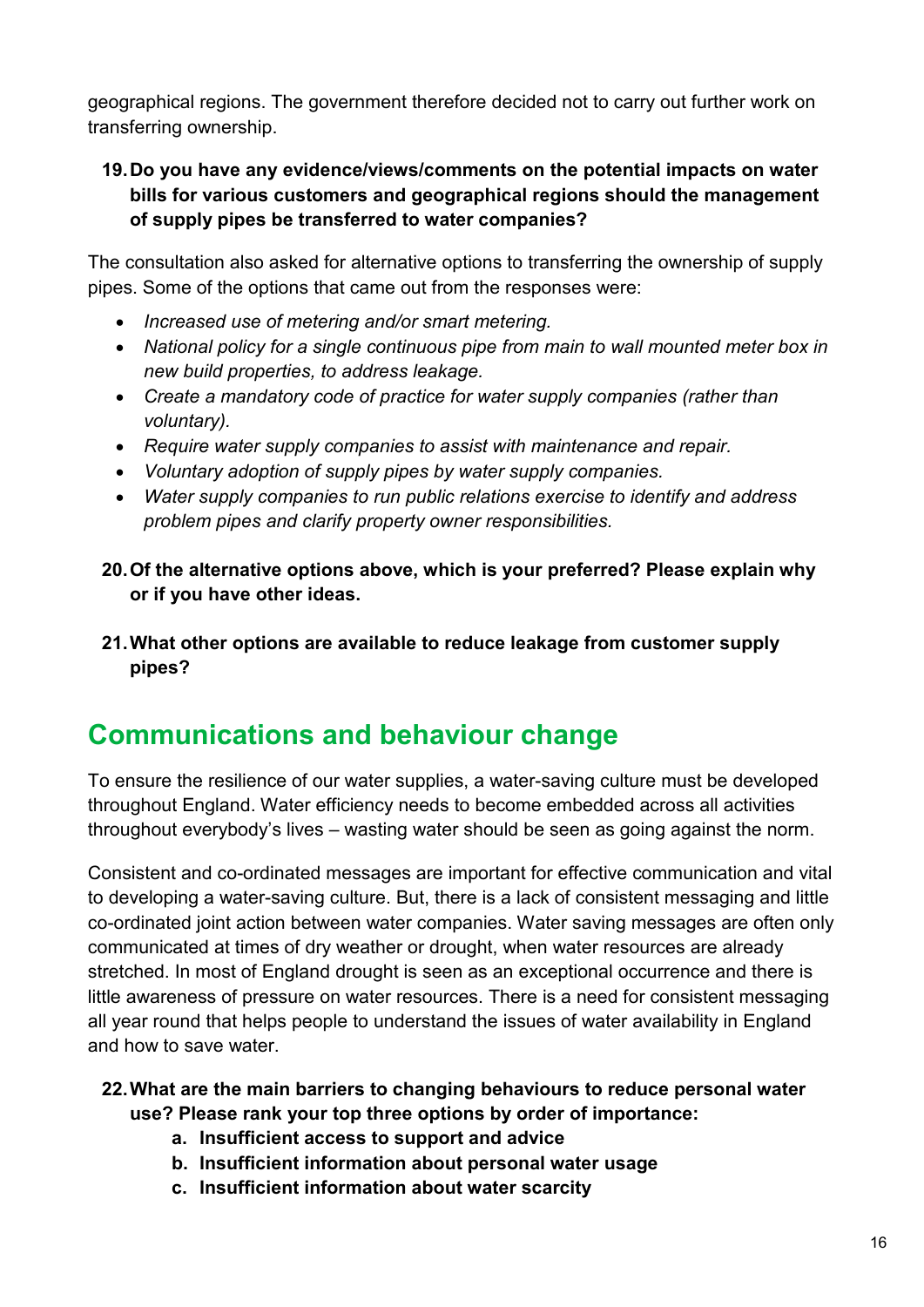geographical regions. The government therefore decided not to carry out further work on transferring ownership.

#### **19.Do you have any evidence/views/comments on the potential impacts on water bills for various customers and geographical regions should the management of supply pipes be transferred to water companies?**

The consultation also asked for alternative options to transferring the ownership of supply pipes. Some of the options that came out from the responses were:

- *Increased use of metering and/or smart metering.*
- *National policy for a single continuous pipe from main to wall mounted meter box in new build properties, to address leakage.*
- *Create a mandatory code of practice for water supply companies (rather than voluntary).*
- *Require water supply companies to assist with maintenance and repair.*
- *Voluntary adoption of supply pipes by water supply companies.*
- *Water supply companies to run public relations exercise to identify and address problem pipes and clarify property owner responsibilities.*
- **20.Of the alternative options above, which is your preferred? Please explain why or if you have other ideas.**
- **21.What other options are available to reduce leakage from customer supply pipes?**

### <span id="page-18-0"></span>**Communications and behaviour change**

To ensure the resilience of our water supplies, a water-saving culture must be developed throughout England. Water efficiency needs to become embedded across all activities throughout everybody's lives – wasting water should be seen as going against the norm.

Consistent and co-ordinated messages are important for effective communication and vital to developing a water-saving culture. But, there is a lack of consistent messaging and little co-ordinated joint action between water companies. Water saving messages are often only communicated at times of dry weather or drought, when water resources are already stretched. In most of England drought is seen as an exceptional occurrence and there is little awareness of pressure on water resources. There is a need for consistent messaging all year round that helps people to understand the issues of water availability in England and how to save water.

#### **22.What are the main barriers to changing behaviours to reduce personal water use? Please rank your top three options by order of importance:**

- **a. Insufficient access to support and advice**
- **b. Insufficient information about personal water usage**
- **c. Insufficient information about water scarcity**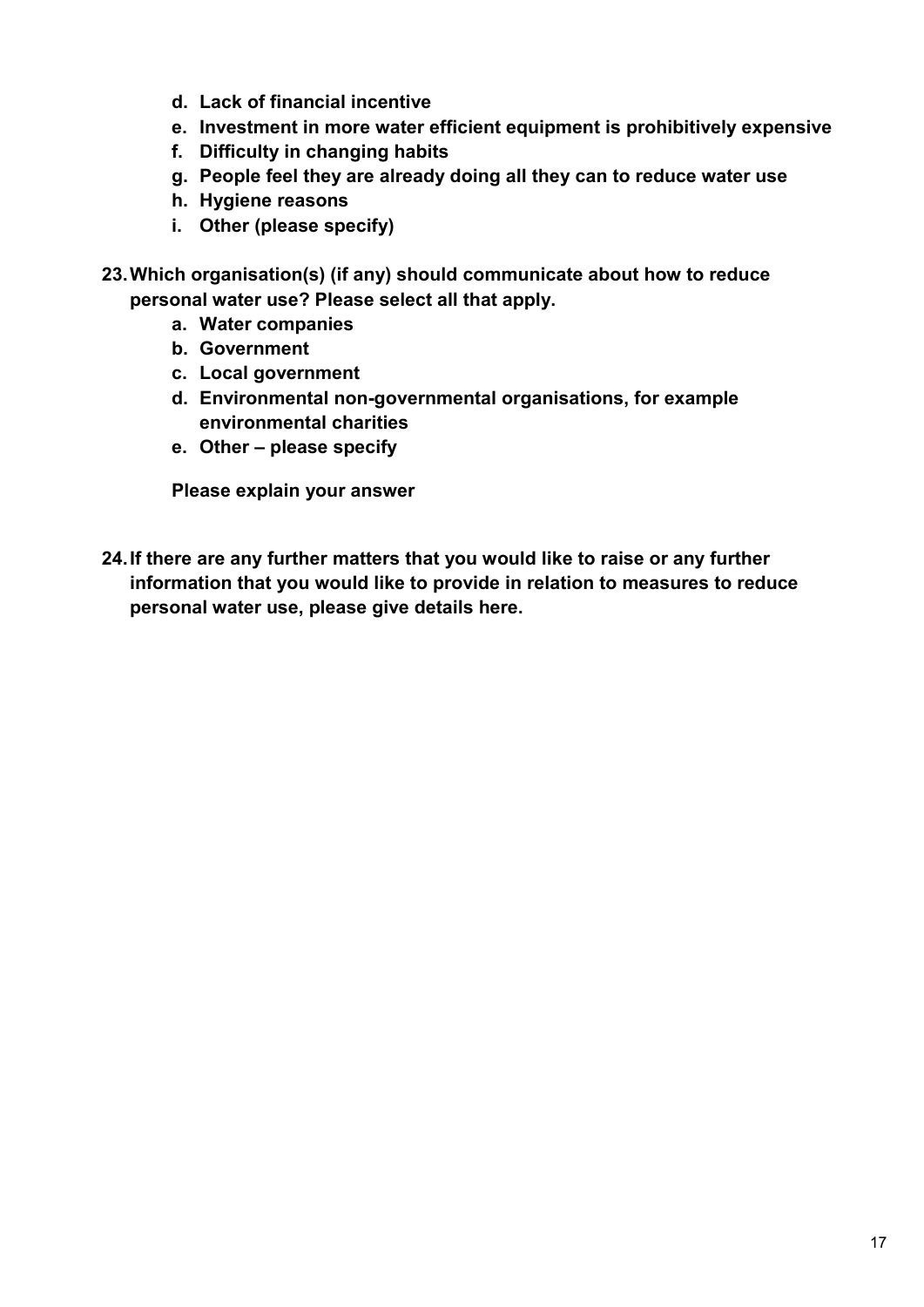- **d. Lack of financial incentive**
- **e. Investment in more water efficient equipment is prohibitively expensive**
- **f. Difficulty in changing habits**
- **g. People feel they are already doing all they can to reduce water use**
- **h. Hygiene reasons**
- **i. Other (please specify)**
- **23.Which organisation(s) (if any) should communicate about how to reduce personal water use? Please select all that apply.**
	- **a. Water companies**
	- **b. Government**
	- **c. Local government**
	- **d. Environmental non-governmental organisations, for example environmental charities**
	- **e. Other – please specify**

**Please explain your answer**

**24.If there are any further matters that you would like to raise or any further information that you would like to provide in relation to measures to reduce personal water use, please give details here.**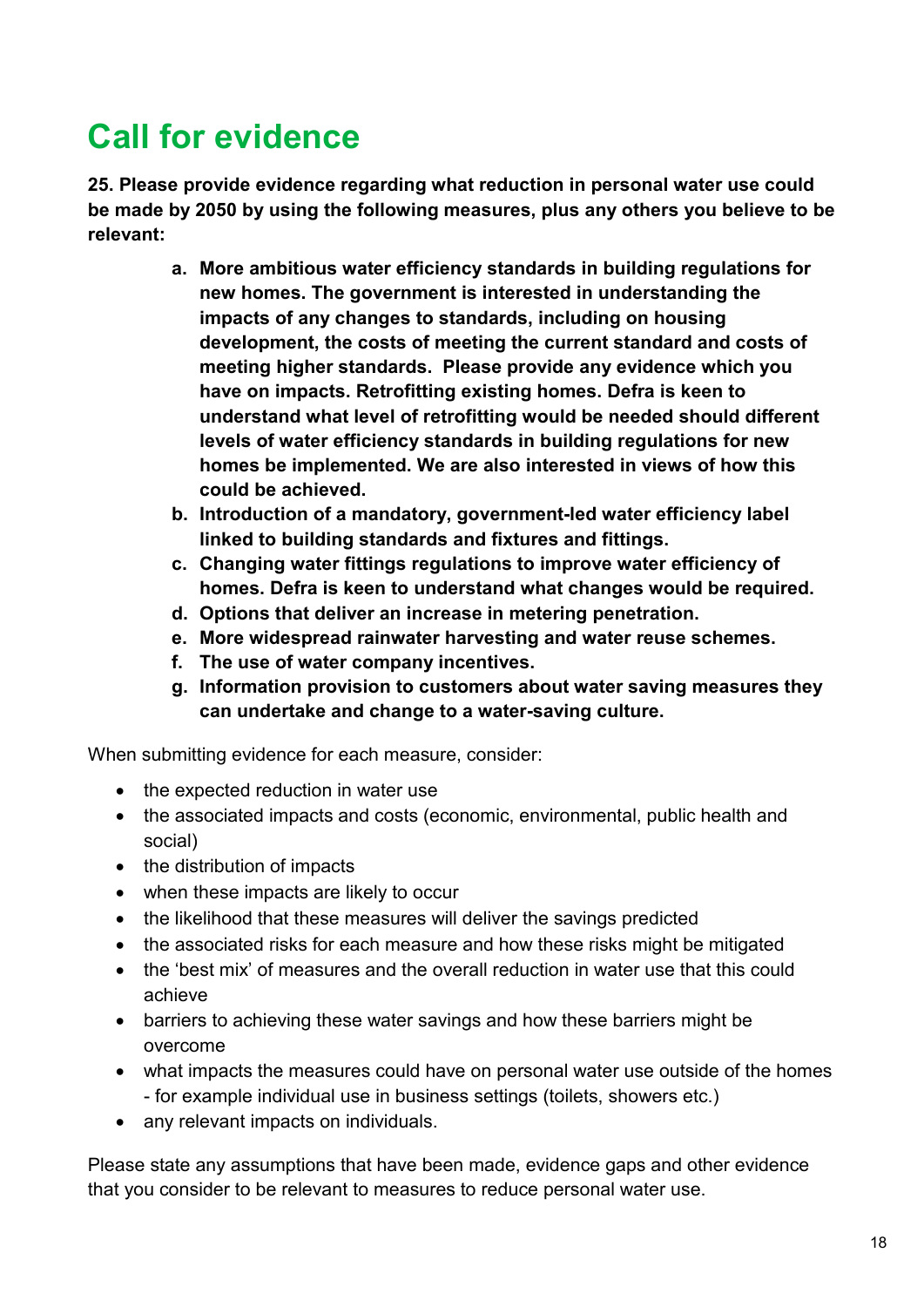# <span id="page-20-0"></span>**Call for evidence**

**25. Please provide evidence regarding what reduction in personal water use could be made by 2050 by using the following measures, plus any others you believe to be relevant:**

- **a. More ambitious water efficiency standards in building regulations for new homes. The government is interested in understanding the impacts of any changes to standards, including on housing development, the costs of meeting the current standard and costs of meeting higher standards. Please provide any evidence which you have on impacts. Retrofitting existing homes. Defra is keen to understand what level of retrofitting would be needed should different levels of water efficiency standards in building regulations for new homes be implemented. We are also interested in views of how this could be achieved.**
- **b. Introduction of a mandatory, government-led water efficiency label linked to building standards and fixtures and fittings.**
- **c. Changing water fittings regulations to improve water efficiency of homes. Defra is keen to understand what changes would be required.**
- **d. Options that deliver an increase in metering penetration.**
- **e. More widespread rainwater harvesting and water reuse schemes.**
- **f. The use of water company incentives.**
- **g. Information provision to customers about water saving measures they can undertake and change to a water-saving culture.**

When submitting evidence for each measure, consider:

- the expected reduction in water use
- the associated impacts and costs (economic, environmental, public health and social)
- the distribution of impacts
- when these impacts are likely to occur
- the likelihood that these measures will deliver the savings predicted
- the associated risks for each measure and how these risks might be mitigated
- the 'best mix' of measures and the overall reduction in water use that this could achieve
- barriers to achieving these water savings and how these barriers might be overcome
- what impacts the measures could have on personal water use outside of the homes - for example individual use in business settings (toilets, showers etc.)
- any relevant impacts on individuals.

Please state any assumptions that have been made, evidence gaps and other evidence that you consider to be relevant to measures to reduce personal water use.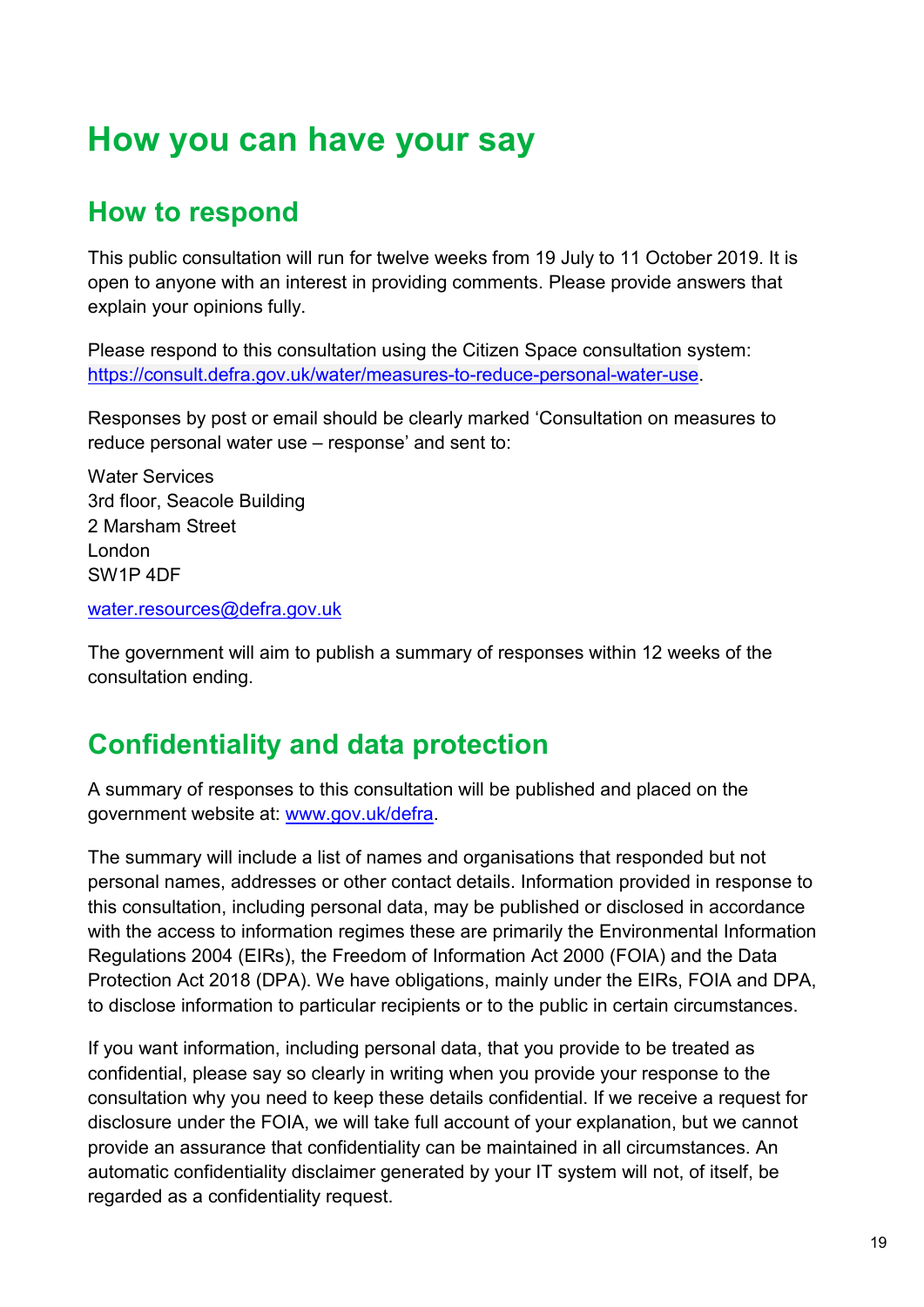# <span id="page-21-0"></span>**How you can have your say**

# <span id="page-21-1"></span>**How to respond**

This public consultation will run for twelve weeks from 19 July to 11 October 2019. It is open to anyone with an interest in providing comments. Please provide answers that explain your opinions fully.

Please respond to this consultation using the Citizen Space consultation system: [https://consult.defra.gov.uk/water/measures-to-reduce-personal-water-use.](https://consult.defra.gov.uk/water/measures-to-reduce-personal-water-use)

Responses by post or email should be clearly marked 'Consultation on measures to reduce personal water use – response' and sent to:

Water Services 3rd floor, Seacole Building 2 Marsham Street London SW1P 4DF

[water.resources@defra.gov.uk](mailto:water.resources@defra.gov.uk)

The government will aim to publish a summary of responses within 12 weeks of the consultation ending.

### <span id="page-21-2"></span>**Confidentiality and data protection**

A summary of responses to this consultation will be published and placed on the government website at: [www.gov.uk/defra.](http://www.gov.uk/defra)

The summary will include a list of names and organisations that responded but not personal names, addresses or other contact details. Information provided in response to this consultation, including personal data, may be published or disclosed in accordance with the access to information regimes these are primarily the Environmental Information Regulations 2004 (EIRs), the Freedom of Information Act 2000 (FOIA) and the Data Protection Act 2018 (DPA). We have obligations, mainly under the EIRs, FOIA and DPA, to disclose information to particular recipients or to the public in certain circumstances.

If you want information, including personal data, that you provide to be treated as confidential, please say so clearly in writing when you provide your response to the consultation why you need to keep these details confidential. If we receive a request for disclosure under the FOIA, we will take full account of your explanation, but we cannot provide an assurance that confidentiality can be maintained in all circumstances. An automatic confidentiality disclaimer generated by your IT system will not, of itself, be regarded as a confidentiality request.